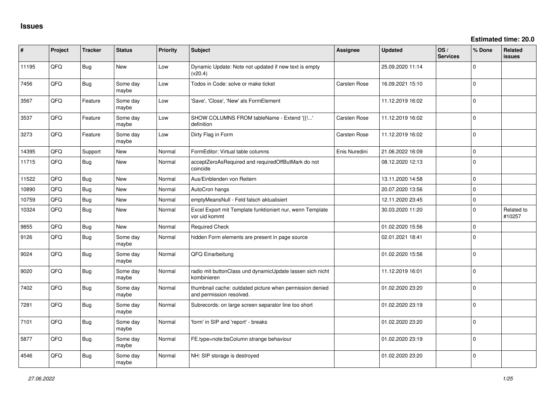| #     | Project | <b>Tracker</b> | <b>Status</b>     | <b>Priority</b> | <b>Subject</b>                                                                       | Assignee            | <b>Updated</b>   | OS/<br><b>Services</b> | % Done      | Related<br><b>issues</b> |
|-------|---------|----------------|-------------------|-----------------|--------------------------------------------------------------------------------------|---------------------|------------------|------------------------|-------------|--------------------------|
| 11195 | QFQ     | Bug            | <b>New</b>        | Low             | Dynamic Update: Note not updated if new text is empty<br>(v20.4)                     |                     | 25.09.2020 11:14 |                        | $\Omega$    |                          |
| 7456  | QFQ     | <b>Bug</b>     | Some day<br>maybe | Low             | Todos in Code: solve or make ticket                                                  | Carsten Rose        | 16.09.2021 15:10 |                        | $\Omega$    |                          |
| 3567  | QFQ     | Feature        | Some day<br>maybe | Low             | 'Save', 'Close', 'New' als FormElement                                               |                     | 11.12.2019 16:02 |                        | $\Omega$    |                          |
| 3537  | QFQ     | Feature        | Some day<br>maybe | Low             | SHOW COLUMNS FROM tableName - Extend '{{!'<br>definition                             | <b>Carsten Rose</b> | 11.12.2019 16:02 |                        | 0           |                          |
| 3273  | QFQ     | Feature        | Some day<br>maybe | Low             | Dirty Flag in Form                                                                   | <b>Carsten Rose</b> | 11.12.2019 16:02 |                        | $\Omega$    |                          |
| 14395 | QFQ     | Support        | New               | Normal          | FormEditor: Virtual table columns                                                    | Enis Nuredini       | 21.06.2022 16:09 |                        | $\mathbf 0$ |                          |
| 11715 | QFQ     | Bug            | <b>New</b>        | Normal          | acceptZeroAsRequired and requiredOffButMark do not<br>coincide                       |                     | 08.12.2020 12:13 |                        | $\Omega$    |                          |
| 11522 | QFQ     | <b>Bug</b>     | New               | Normal          | Aus/Einblenden von Reitern                                                           |                     | 13.11.2020 14:58 |                        | $\mathbf 0$ |                          |
| 10890 | QFQ     | <b>Bug</b>     | <b>New</b>        | Normal          | AutoCron hangs                                                                       |                     | 20.07.2020 13:56 |                        | $\mathbf 0$ |                          |
| 10759 | QFQ     | <b>Bug</b>     | <b>New</b>        | Normal          | emptyMeansNull - Feld falsch aktualisiert                                            |                     | 12.11.2020 23:45 |                        | $\mathbf 0$ |                          |
| 10324 | QFQ     | <b>Bug</b>     | New               | Normal          | Excel Export mit Template funktioniert nur, wenn Template<br>vor uid kommt           |                     | 30.03.2020 11:20 |                        | $\Omega$    | Related to<br>#10257     |
| 9855  | QFQ     | Bug            | New               | Normal          | <b>Required Check</b>                                                                |                     | 01.02.2020 15:56 |                        | $\mathbf 0$ |                          |
| 9126  | QFQ     | <b>Bug</b>     | Some day<br>maybe | Normal          | hidden Form elements are present in page source                                      |                     | 02.01.2021 18:41 |                        | $\Omega$    |                          |
| 9024  | QFQ     | <b>Bug</b>     | Some day<br>maybe | Normal          | QFQ Einarbeitung                                                                     |                     | 01.02.2020 15:56 |                        | $\mathbf 0$ |                          |
| 9020  | QFQ     | <b>Bug</b>     | Some day<br>maybe | Normal          | radio mit buttonClass und dynamicUpdate lassen sich nicht<br>kombinieren             |                     | 11.12.2019 16:01 |                        | $\Omega$    |                          |
| 7402  | QFQ     | <b>Bug</b>     | Some day<br>maybe | Normal          | thumbnail cache: outdated picture when permission denied<br>and permission resolved. |                     | 01.02.2020 23:20 |                        | $\mathbf 0$ |                          |
| 7281  | QFQ     | <b>Bug</b>     | Some day<br>maybe | Normal          | Subrecords: on large screen separator line too short                                 |                     | 01.02.2020 23:19 |                        | $\Omega$    |                          |
| 7101  | QFQ     | <b>Bug</b>     | Some day<br>maybe | Normal          | 'form' in SIP and 'report' - breaks                                                  |                     | 01.02.2020 23:20 |                        | $\mathbf 0$ |                          |
| 5877  | QFQ     | <b>Bug</b>     | Some day<br>maybe | Normal          | FE.type=note:bsColumn strange behaviour                                              |                     | 01.02.2020 23:19 |                        | $\Omega$    |                          |
| 4546  | QFQ     | <b>Bug</b>     | Some day<br>maybe | Normal          | NH: SIP storage is destroyed                                                         |                     | 01.02.2020 23:20 |                        | $\mathbf 0$ |                          |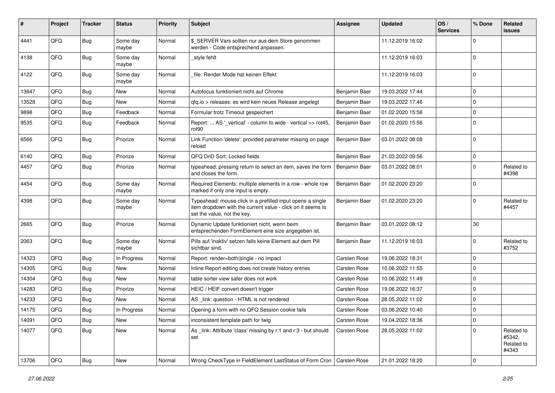| #     | Project | <b>Tracker</b> | <b>Status</b>     | <b>Priority</b> | Subject                                                                                                                                                  | <b>Assignee</b>     | <b>Updated</b>   | OS/<br><b>Services</b> | % Done      | Related<br>issues                           |
|-------|---------|----------------|-------------------|-----------------|----------------------------------------------------------------------------------------------------------------------------------------------------------|---------------------|------------------|------------------------|-------------|---------------------------------------------|
| 4441  | QFQ     | <b>Bug</b>     | Some day<br>maybe | Normal          | \$ SERVER Vars sollten nur aus dem Store genommen<br>werden - Code entsprechend anpassen.                                                                |                     | 11.12.2019 16:02 |                        | $\Omega$    |                                             |
| 4138  | QFQ     | Bug            | Some day<br>maybe | Normal          | _style fehlt                                                                                                                                             |                     | 11.12.2019 16:03 |                        | $\Omega$    |                                             |
| 4122  | QFQ     | Bug            | Some day<br>maybe | Normal          | file: Render Mode hat keinen Effekt                                                                                                                      |                     | 11.12.2019 16:03 |                        | $\Omega$    |                                             |
| 13647 | QFQ     | Bug            | <b>New</b>        | Normal          | Autofocus funktioniert nicht auf Chrome                                                                                                                  | Benjamin Baer       | 19.03.2022 17:44 |                        | $\mathbf 0$ |                                             |
| 13528 | QFQ     | Bug            | New               | Normal          | gfg.io > releases: es wird kein neues Release angelegt                                                                                                   | Benjamin Baer       | 19.03.2022 17:46 |                        | $\Omega$    |                                             |
| 9898  | QFQ     | Bug            | Feedback          | Normal          | Formular trotz Timeout gespeichert                                                                                                                       | Benjamin Baer       | 01.02.2020 15:56 |                        | $\mathbf 0$ |                                             |
| 9535  | QFQ     | Bug            | Feedback          | Normal          | Report:  AS '_vertical' - column to wide - vertical >> rot45,<br>rot <sub>90</sub>                                                                       | Benjamin Baer       | 01.02.2020 15:56 |                        | $\Omega$    |                                             |
| 6566  | QFQ     | Bug            | Priorize          | Normal          | Link Function 'delete': provided parameter missing on page<br>reload                                                                                     | Benjamin Baer       | 03.01.2022 08:08 |                        | $\Omega$    |                                             |
| 6140  | QFQ     | Bug            | Priorize          | Normal          | QFQ DnD Sort: Locked fields                                                                                                                              | Benjamin Baer       | 21.03.2022 09:56 |                        | 0           |                                             |
| 4457  | QFQ     | <b>Bug</b>     | Priorize          | Normal          | typeahead: pressing return to select an item, saves the form<br>and closes the form.                                                                     | Benjamin Baer       | 03.01.2022 08:01 |                        | $\Omega$    | Related to<br>#4398                         |
| 4454  | QFQ     | Bug            | Some day<br>maybe | Normal          | Required Elements: multiple elements in a row - whole row<br>marked if only one input is empty.                                                          | Benjamin Baer       | 01.02.2020 23:20 |                        | $\Omega$    |                                             |
| 4398  | QFQ     | Bug            | Some day<br>maybe | Normal          | Typeahead: mouse click in a prefilled input opens a single<br>item dropdown with the current value - click on it seems to<br>set the value, not the key. | Benjamin Baer       | 01.02.2020 23:20 |                        | $\Omega$    | Related to<br>#4457                         |
| 2665  | QFQ     | Bug            | Priorize          | Normal          | Dynamic Update funktioniert nicht, wenn beim<br>entsprechenden FormElement eine size angegeben ist.                                                      | Benjamin Baer       | 03.01.2022 08:12 |                        | 30          |                                             |
| 2063  | QFQ     | Bug            | Some day<br>maybe | Normal          | Pills auf 'inaktiv' setzen falls keine Element auf dem Pill<br>sichtbar sind.                                                                            | Benjamin Baer       | 11.12.2019 16:03 |                        | $\Omega$    | Related to<br>#3752                         |
| 14323 | QFQ     | Bug            | In Progress       | Normal          | Report: render=both single - no impact                                                                                                                   | <b>Carsten Rose</b> | 19.06.2022 18:31 |                        | $\Omega$    |                                             |
| 14305 | QFQ     | Bug            | New               | Normal          | Inline Report editing does not create history entries                                                                                                    | <b>Carsten Rose</b> | 10.06.2022 11:55 |                        | $\mathbf 0$ |                                             |
| 14304 | QFQ     | <b>Bug</b>     | New               | Normal          | table sorter view safer does not work                                                                                                                    | <b>Carsten Rose</b> | 10.06.2022 11:49 |                        | $\mathbf 0$ |                                             |
| 14283 | QFQ     | <b>Bug</b>     | Priorize          | Normal          | HEIC / HEIF convert doesn't trigger                                                                                                                      | <b>Carsten Rose</b> | 19.06.2022 16:37 |                        | $\mathbf 0$ |                                             |
| 14233 | QFQ     | Bug            | New               | Normal          | AS link: question - HTML is not rendered                                                                                                                 | <b>Carsten Rose</b> | 28.05.2022 11:02 |                        | $\mathbf 0$ |                                             |
| 14175 | QFQ     | Bug            | In Progress       | Normal          | Opening a form with no QFQ Session cookie fails                                                                                                          | <b>Carsten Rose</b> | 03.06.2022 10:40 |                        | 0 I         |                                             |
| 14091 | QFQ     | Bug            | New               | Normal          | inconsistent template path for twig                                                                                                                      | Carsten Rose        | 19.04.2022 18:36 |                        | 0           |                                             |
| 14077 | QFQ     | <b>Bug</b>     | New               | Normal          | As link: Attribute 'class' missing by r:1 and r:3 - but should<br>set                                                                                    | Carsten Rose        | 28.05.2022 11:02 |                        | $\Omega$    | Related to<br>#5342,<br>Related to<br>#4343 |
| 13706 | QFQ     | Bug            | New               | Normal          | Wrong CheckType in FieldElement LastStatus of Form Cron                                                                                                  | Carsten Rose        | 21.01.2022 18:20 |                        | 0           |                                             |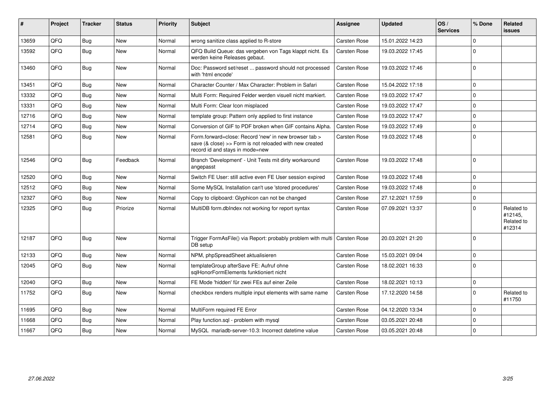| #     | Project | <b>Tracker</b> | <b>Status</b> | <b>Priority</b> | <b>Subject</b>                                                                                                                                      | <b>Assignee</b>     | <b>Updated</b>   | OS/<br><b>Services</b> | % Done      | Related<br>issues                             |
|-------|---------|----------------|---------------|-----------------|-----------------------------------------------------------------------------------------------------------------------------------------------------|---------------------|------------------|------------------------|-------------|-----------------------------------------------|
| 13659 | QFQ     | Bug            | <b>New</b>    | Normal          | wrong sanitize class applied to R-store                                                                                                             | <b>Carsten Rose</b> | 15.01.2022 14:23 |                        | $\Omega$    |                                               |
| 13592 | QFQ     | Bug            | New           | Normal          | QFQ Build Queue: das vergeben von Tags klappt nicht. Es<br>werden keine Releases gebaut.                                                            | <b>Carsten Rose</b> | 19.03.2022 17:45 |                        | $\Omega$    |                                               |
| 13460 | QFQ     | Bug            | New           | Normal          | Doc: Password set/reset  password should not processed<br>with 'html encode'                                                                        | Carsten Rose        | 19.03.2022 17:46 |                        | I٥          |                                               |
| 13451 | QFQ     | Bug            | <b>New</b>    | Normal          | Character Counter / Max Character: Problem in Safari                                                                                                | Carsten Rose        | 15.04.2022 17:18 |                        | $\Omega$    |                                               |
| 13332 | QFQ     | Bug            | New           | Normal          | Multi Form: Required Felder werden visuell nicht markiert.                                                                                          | <b>Carsten Rose</b> | 19.03.2022 17:47 |                        | $\Omega$    |                                               |
| 13331 | QFQ     | Bug            | New           | Normal          | Multi Form: Clear Icon misplaced                                                                                                                    | <b>Carsten Rose</b> | 19.03.2022 17:47 |                        | $\Omega$    |                                               |
| 12716 | QFQ     | Bug            | New           | Normal          | template group: Pattern only applied to first instance                                                                                              | Carsten Rose        | 19.03.2022 17:47 |                        | 0           |                                               |
| 12714 | QFQ     | Bug            | New           | Normal          | Conversion of GIF to PDF broken when GIF contains Alpha.                                                                                            | Carsten Rose        | 19.03.2022 17:49 |                        | $\Omega$    |                                               |
| 12581 | QFQ     | Bug            | New           | Normal          | Form.forward=close: Record 'new' in new browser tab ><br>save (& close) >> Form is not reloaded with new created<br>record id and stays in mode=new | Carsten Rose        | 19.03.2022 17:48 |                        | I٥          |                                               |
| 12546 | QFQ     | Bug            | Feedback      | Normal          | Branch 'Development' - Unit Tests mit dirty workaround<br>angepasst                                                                                 | Carsten Rose        | 19.03.2022 17:48 |                        | I٥          |                                               |
| 12520 | QFQ     | Bug            | <b>New</b>    | Normal          | Switch FE User: still active even FE User session expired                                                                                           | Carsten Rose        | 19.03.2022 17:48 |                        | $\Omega$    |                                               |
| 12512 | QFQ     | Bug            | New           | Normal          | Some MySQL Installation can't use 'stored procedures'                                                                                               | <b>Carsten Rose</b> | 19.03.2022 17:48 |                        | $\Omega$    |                                               |
| 12327 | QFQ     | Bug            | New           | Normal          | Copy to clipboard: Glyphicon can not be changed                                                                                                     | <b>Carsten Rose</b> | 27.12.2021 17:59 |                        | $\mathbf 0$ |                                               |
| 12325 | QFQ     | Bug            | Priorize      | Normal          | MultiDB form.dblndex not working for report syntax                                                                                                  | <b>Carsten Rose</b> | 07.09.2021 13:37 |                        | $\Omega$    | Related to<br>#12145,<br>Related to<br>#12314 |
| 12187 | QFQ     | Bug            | New           | Normal          | Trigger FormAsFile() via Report: probably problem with multi   Carsten Rose<br>DB setup                                                             |                     | 20.03.2021 21:20 |                        | I٥          |                                               |
| 12133 | QFQ     | Bug            | <b>New</b>    | Normal          | NPM, phpSpreadSheet aktualisieren                                                                                                                   | <b>Carsten Rose</b> | 15.03.2021 09:04 |                        | I٥          |                                               |
| 12045 | QFQ     | Bug            | New           | Normal          | templateGroup afterSave FE: Aufruf ohne<br>sqlHonorFormElements funktioniert nicht                                                                  | <b>Carsten Rose</b> | 18.02.2021 16:33 |                        | l 0         |                                               |
| 12040 | QFQ     | Bug            | New           | Normal          | FE Mode 'hidden' für zwei FEs auf einer Zeile                                                                                                       | Carsten Rose        | 18.02.2021 10:13 |                        | l O         |                                               |
| 11752 | QFQ     | Bug            | <b>New</b>    | Normal          | checkbox renders multiple input elements with same name                                                                                             | <b>Carsten Rose</b> | 17.12.2020 14:58 |                        | $\Omega$    | Related to<br>#11750                          |
| 11695 | QFQ     | Bug            | New           | Normal          | MultiForm required FE Error                                                                                                                         | <b>Carsten Rose</b> | 04.12.2020 13:34 |                        | $\Omega$    |                                               |
| 11668 | QFQ     | Bug            | New           | Normal          | Play function.sgl - problem with mysgl                                                                                                              | <b>Carsten Rose</b> | 03.05.2021 20:48 |                        | $\Omega$    |                                               |
| 11667 | QFQ     | Bug            | New           | Normal          | MySQL mariadb-server-10.3: Incorrect datetime value                                                                                                 | Carsten Rose        | 03.05.2021 20:48 |                        | $\Omega$    |                                               |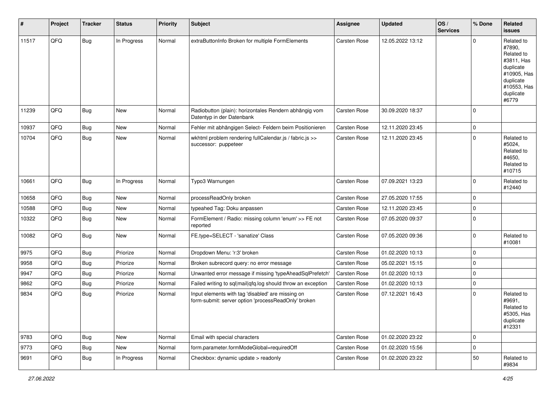| #     | Project | <b>Tracker</b> | <b>Status</b> | <b>Priority</b> | <b>Subject</b>                                                                                           | <b>Assignee</b> | <b>Updated</b>   | OS/<br><b>Services</b> | % Done         | Related<br>issues                                                                                                              |
|-------|---------|----------------|---------------|-----------------|----------------------------------------------------------------------------------------------------------|-----------------|------------------|------------------------|----------------|--------------------------------------------------------------------------------------------------------------------------------|
| 11517 | QFQ     | <b>Bug</b>     | In Progress   | Normal          | extraButtonInfo Broken for multiple FormElements                                                         | Carsten Rose    | 12.05.2022 13:12 |                        | $\Omega$       | Related to<br>#7890,<br>Related to<br>#3811, Has<br>duplicate<br>#10905, Has<br>duplicate<br>#10553, Has<br>duplicate<br>#6779 |
| 11239 | QFQ     | <b>Bug</b>     | <b>New</b>    | Normal          | Radiobutton (plain): horizontales Rendern abhängig vom<br>Datentyp in der Datenbank                      | Carsten Rose    | 30.09.2020 18:37 |                        | $\Omega$       |                                                                                                                                |
| 10937 | QFQ     | Bug            | <b>New</b>    | Normal          | Fehler mit abhängigen Select- Feldern beim Positionieren                                                 | Carsten Rose    | 12.11.2020 23:45 |                        | $\mathbf 0$    |                                                                                                                                |
| 10704 | QFQ     | <b>Bug</b>     | New           | Normal          | wkhtml problem rendering fullCalendar.js / fabric.js >><br>successor: puppeteer                          | Carsten Rose    | 12.11.2020 23:45 |                        | $\Omega$       | Related to<br>#5024,<br>Related to<br>#4650.<br>Related to<br>#10715                                                           |
| 10661 | QFQ     | <b>Bug</b>     | In Progress   | Normal          | Typo3 Warnungen                                                                                          | Carsten Rose    | 07.09.2021 13:23 |                        | $\Omega$       | Related to<br>#12440                                                                                                           |
| 10658 | QFQ     | Bug            | New           | Normal          | processReadOnly broken                                                                                   | Carsten Rose    | 27.05.2020 17:55 |                        | $\mathbf 0$    |                                                                                                                                |
| 10588 | QFQ     | <b>Bug</b>     | New           | Normal          | typeahed Tag: Doku anpassen                                                                              | Carsten Rose    | 12.11.2020 23:45 |                        | $\mathbf 0$    |                                                                                                                                |
| 10322 | QFQ     | <b>Bug</b>     | New           | Normal          | FormElement / Radio: missing column 'enum' >> FE not<br>reported                                         | Carsten Rose    | 07.05.2020 09:37 |                        | $\mathbf 0$    |                                                                                                                                |
| 10082 | QFQ     | Bug            | New           | Normal          | FE.type=SELECT - 'sanatize' Class                                                                        | Carsten Rose    | 07.05.2020 09:36 |                        | $\mathbf 0$    | Related to<br>#10081                                                                                                           |
| 9975  | QFQ     | <b>Bug</b>     | Priorize      | Normal          | Dropdown Menu: 'r:3' broken                                                                              | Carsten Rose    | 01.02.2020 10:13 |                        | $\Omega$       |                                                                                                                                |
| 9958  | QFQ     | <b>Bug</b>     | Priorize      | Normal          | Broken subrecord query: no error message                                                                 | Carsten Rose    | 05.02.2021 15:15 |                        | $\mathbf 0$    |                                                                                                                                |
| 9947  | QFQ     | Bug            | Priorize      | Normal          | Unwanted error message if missing 'typeAheadSqlPrefetch'                                                 | Carsten Rose    | 01.02.2020 10:13 |                        | $\mathbf 0$    |                                                                                                                                |
| 9862  | QFQ     | <b>Bug</b>     | Priorize      | Normal          | Failed writing to sql mail qfq.log should throw an exception                                             | Carsten Rose    | 01.02.2020 10:13 |                        | $\mathbf 0$    |                                                                                                                                |
| 9834  | QFQ     | Bug            | Priorize      | Normal          | Input elements with tag 'disabled' are missing on<br>form-submit: server option 'processReadOnly' broken | Carsten Rose    | 07.12.2021 16:43 |                        | $\mathbf 0$    | Related to<br>#9691,<br>Related to<br>#5305, Has<br>duplicate<br>#12331                                                        |
| 9783  | QFQ     | <b>Bug</b>     | New           | Normal          | Email with special characters                                                                            | Carsten Rose    | 01.02.2020 23:22 |                        | $\overline{0}$ |                                                                                                                                |
| 9773  | QFQ     | Bug            | New           | Normal          | form.parameter.formModeGlobal=requiredOff                                                                | Carsten Rose    | 01.02.2020 15:56 |                        | $\mathbf 0$    |                                                                                                                                |
| 9691  | QFQ     | Bug            | In Progress   | Normal          | Checkbox: dynamic update > readonly                                                                      | Carsten Rose    | 01.02.2020 23:22 |                        | 50             | Related to<br>#9834                                                                                                            |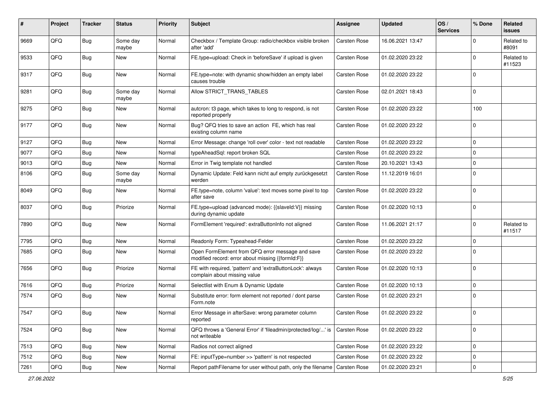| #    | Project        | <b>Tracker</b> | <b>Status</b>     | <b>Priority</b> | <b>Subject</b>                                                                                        | Assignee            | <b>Updated</b>   | OS/<br><b>Services</b> | % Done      | <b>Related</b><br><b>issues</b> |
|------|----------------|----------------|-------------------|-----------------|-------------------------------------------------------------------------------------------------------|---------------------|------------------|------------------------|-------------|---------------------------------|
| 9669 | QFQ            | Bug            | Some day<br>maybe | Normal          | Checkbox / Template Group: radio/checkbox visible broken<br>after 'add'                               | <b>Carsten Rose</b> | 16.06.2021 13:47 |                        | 0           | Related to<br>#8091             |
| 9533 | QFQ            | Bug            | New               | Normal          | FE.type=upload: Check in 'beforeSave' if upload is given                                              | <b>Carsten Rose</b> | 01.02.2020 23:22 |                        | 0           | Related to<br>#11523            |
| 9317 | QFQ            | Bug            | New               | Normal          | FE.type=note: with dynamic show/hidden an empty label<br>causes trouble                               | Carsten Rose        | 01.02.2020 23:22 |                        | $\mathbf 0$ |                                 |
| 9281 | QFQ            | Bug            | Some day<br>maybe | Normal          | Allow STRICT_TRANS_TABLES                                                                             | <b>Carsten Rose</b> | 02.01.2021 18:43 |                        | 0           |                                 |
| 9275 | QFQ            | Bug            | New               | Normal          | autcron: t3 page, which takes to long to respond, is not<br>reported properly                         | <b>Carsten Rose</b> | 01.02.2020 23:22 |                        | 100         |                                 |
| 9177 | QFQ            | Bug            | <b>New</b>        | Normal          | Bug? QFQ tries to save an action FE, which has real<br>existing column name                           | <b>Carsten Rose</b> | 01.02.2020 23:22 |                        | 0           |                                 |
| 9127 | QFQ            | Bug            | New               | Normal          | Error Message: change 'roll over' color - text not readable                                           | <b>Carsten Rose</b> | 01.02.2020 23:22 |                        | $\mathbf 0$ |                                 |
| 9077 | QFQ            | Bug            | New               | Normal          | typeAheadSql: report broken SQL                                                                       | Carsten Rose        | 01.02.2020 23:22 |                        | $\mathbf 0$ |                                 |
| 9013 | QFQ            | Bug            | New               | Normal          | Error in Twig template not handled                                                                    | <b>Carsten Rose</b> | 20.10.2021 13:43 |                        | 0           |                                 |
| 8106 | QFQ            | <b>Bug</b>     | Some day<br>maybe | Normal          | Dynamic Update: Feld kann nicht auf empty zurückgesetzt<br>werden                                     | <b>Carsten Rose</b> | 11.12.2019 16:01 |                        | 0           |                                 |
| 8049 | QFQ            | Bug            | New               | Normal          | FE.type=note, column 'value': text moves some pixel to top<br>after save                              | <b>Carsten Rose</b> | 01.02.2020 23:22 |                        | 0           |                                 |
| 8037 | QFQ            | Bug            | Priorize          | Normal          | FE.type=upload (advanced mode): {{slaveld:V}} missing<br>during dynamic update                        | <b>Carsten Rose</b> | 01.02.2020 10:13 |                        | 0           |                                 |
| 7890 | QFQ            | Bug            | <b>New</b>        | Normal          | FormElement 'required': extraButtonInfo not aligned                                                   | <b>Carsten Rose</b> | 11.06.2021 21:17 |                        | 0           | Related to<br>#11517            |
| 7795 | QFQ            | Bug            | New               | Normal          | Readonly Form: Typeahead-Felder                                                                       | <b>Carsten Rose</b> | 01.02.2020 23:22 |                        | $\mathbf 0$ |                                 |
| 7685 | QFQ            | Bug            | New               | Normal          | Open FormElement from QFQ error message and save<br>modified record: error about missing {{formId:F}} | <b>Carsten Rose</b> | 01.02.2020 23:22 |                        | $\mathbf 0$ |                                 |
| 7656 | QFQ            | Bug            | Priorize          | Normal          | FE with required, 'pattern' and 'extraButtonLock': always<br>complain about missing value             | Carsten Rose        | 01.02.2020 10:13 |                        | 0           |                                 |
| 7616 | QFQ            | Bug            | Priorize          | Normal          | Selectlist with Enum & Dynamic Update                                                                 | <b>Carsten Rose</b> | 01.02.2020 10:13 |                        | 0           |                                 |
| 7574 | QFQ            | Bug            | New               | Normal          | Substitute error: form element not reported / dont parse<br>Form.note                                 | <b>Carsten Rose</b> | 01.02.2020 23:21 |                        | 0           |                                 |
| 7547 | $\mathsf{QFQ}$ | <b>Bug</b>     | New               | Normal          | Error Message in afterSave: wrong parameter column<br>reported                                        | Carsten Rose        | 01.02.2020 23:22 |                        | $\mathbf 0$ |                                 |
| 7524 | QFQ            | Bug            | New               | Normal          | QFQ throws a 'General Error' if 'fileadmin/protected/log/' is<br>not writeable                        | Carsten Rose        | 01.02.2020 23:22 |                        | $\mathbf 0$ |                                 |
| 7513 | QFQ            | <b>Bug</b>     | New               | Normal          | Radios not correct aligned                                                                            | Carsten Rose        | 01.02.2020 23:22 |                        | 0           |                                 |
| 7512 | QFQ            | Bug            | New               | Normal          | FE: inputType=number >> 'pattern' is not respected                                                    | Carsten Rose        | 01.02.2020 23:22 |                        | 0           |                                 |
| 7261 | QFG            | Bug            | New               | Normal          | Report pathFilename for user without path, only the filename                                          | Carsten Rose        | 01.02.2020 23:21 |                        | $\mathbf 0$ |                                 |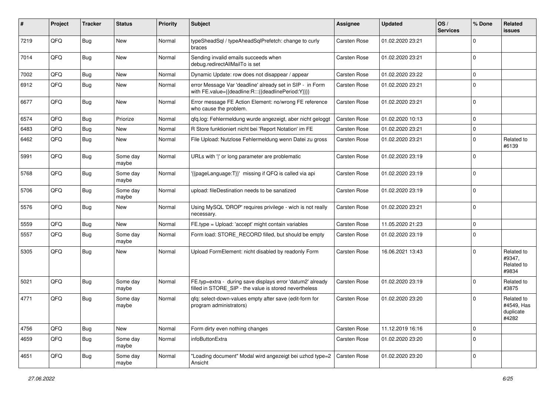| #    | Project | <b>Tracker</b> | <b>Status</b>     | <b>Priority</b> | Subject                                                                                                              | <b>Assignee</b>     | <b>Updated</b>   | OS/<br><b>Services</b> | % Done      | Related<br>issues                              |
|------|---------|----------------|-------------------|-----------------|----------------------------------------------------------------------------------------------------------------------|---------------------|------------------|------------------------|-------------|------------------------------------------------|
| 7219 | QFQ     | <b>Bug</b>     | <b>New</b>        | Normal          | typeSheadSql / typeAheadSqlPrefetch: change to curly<br>braces                                                       | <b>Carsten Rose</b> | 01.02.2020 23:21 |                        | $\Omega$    |                                                |
| 7014 | QFQ     | Bug            | New               | Normal          | Sending invalid emails succeeds when<br>debug.redirectAllMailTo is set                                               | <b>Carsten Rose</b> | 01.02.2020 23:21 |                        | $\Omega$    |                                                |
| 7002 | QFQ     | Bug            | <b>New</b>        | Normal          | Dynamic Update: row does not disappear / appear                                                                      | <b>Carsten Rose</b> | 01.02.2020 23:22 |                        | $\mathbf 0$ |                                                |
| 6912 | QFQ     | Bug            | New               | Normal          | error Message Var 'deadline' already set in SIP - in Form<br>with FE.value={{deadline:R:::{{deadlinePeriod:Y}}}}     | <b>Carsten Rose</b> | 01.02.2020 23:21 |                        | $\Omega$    |                                                |
| 6677 | QFQ     | Bug            | <b>New</b>        | Normal          | Error message FE Action Element: no/wrong FE reference<br>who cause the problem.                                     | Carsten Rose        | 01.02.2020 23:21 |                        | l O         |                                                |
| 6574 | QFQ     | Bug            | Priorize          | Normal          | qfq.log: Fehlermeldung wurde angezeigt, aber nicht geloggt                                                           | Carsten Rose        | 01.02.2020 10:13 |                        | 0           |                                                |
| 6483 | QFQ     | Bug            | <b>New</b>        | Normal          | R Store funktioniert nicht bei 'Report Notation' im FE                                                               | <b>Carsten Rose</b> | 01.02.2020 23:21 |                        | $\mathbf 0$ |                                                |
| 6462 | QFQ     | Bug            | <b>New</b>        | Normal          | File Upload: Nutzlose Fehlermeldung wenn Datei zu gross                                                              | <b>Carsten Rose</b> | 01.02.2020 23:21 |                        | $\Omega$    | Related to<br>#6139                            |
| 5991 | QFQ     | <b>Bug</b>     | Some day<br>maybe | Normal          | URLs with ' ' or long parameter are problematic                                                                      | Carsten Rose        | 01.02.2020 23:19 |                        | l O         |                                                |
| 5768 | QFQ     | Bug            | Some day<br>maybe | Normal          | '{{pageLanguage:T}}' missing if QFQ is called via api                                                                | <b>Carsten Rose</b> | 01.02.2020 23:19 |                        | $\Omega$    |                                                |
| 5706 | QFQ     | <b>Bug</b>     | Some day<br>maybe | Normal          | upload: fileDestination needs to be sanatized                                                                        | <b>Carsten Rose</b> | 01.02.2020 23:19 |                        | 0           |                                                |
| 5576 | QFQ     | Bug            | <b>New</b>        | Normal          | Using MySQL 'DROP' requires privilege - wich is not really<br>necessary.                                             | <b>Carsten Rose</b> | 01.02.2020 23:21 |                        | 0           |                                                |
| 5559 | QFQ     | Bug            | <b>New</b>        | Normal          | FE.type = Upload: 'accept' might contain variables                                                                   | <b>Carsten Rose</b> | 11.05.2020 21:23 |                        | $\mathbf 0$ |                                                |
| 5557 | QFQ     | Bug            | Some day<br>maybe | Normal          | Form load: STORE_RECORD filled, but should be empty                                                                  | <b>Carsten Rose</b> | 01.02.2020 23:19 |                        | $\Omega$    |                                                |
| 5305 | QFQ     | Bug            | New               | Normal          | Upload FormElement: nicht disabled by readonly Form                                                                  | <b>Carsten Rose</b> | 16.06.2021 13:43 |                        | l O         | Related to<br>#9347,<br>Related to<br>#9834    |
| 5021 | QFQ     | Bug            | Some day<br>maybe | Normal          | FE.typ=extra - during save displays error 'datum2' already<br>filled in STORE_SIP - the value is stored nevertheless | <b>Carsten Rose</b> | 01.02.2020 23:19 |                        | $\Omega$    | Related to<br>#3875                            |
| 4771 | QFQ     | Bug            | Some day<br>maybe | Normal          | qfq: select-down-values empty after save (edit-form for<br>program administrators)                                   | <b>Carsten Rose</b> | 01.02.2020 23:20 |                        | l O         | Related to<br>#4549, Has<br>duplicate<br>#4282 |
| 4756 | QFQ     | Bug            | New               | Normal          | Form dirty even nothing changes                                                                                      | Carsten Rose        | 11.12.2019 16:16 |                        | $\mathbf 0$ |                                                |
| 4659 | QFQ     | <b>Bug</b>     | Some day<br>maybe | Normal          | infoButtonExtra                                                                                                      | Carsten Rose        | 01.02.2020 23:20 |                        | $\mathbf 0$ |                                                |
| 4651 | QFQ     | Bug            | Some day<br>maybe | Normal          | "Loading document" Modal wird angezeigt bei uzhcd type=2<br>Ansicht                                                  | Carsten Rose        | 01.02.2020 23:20 |                        | 0           |                                                |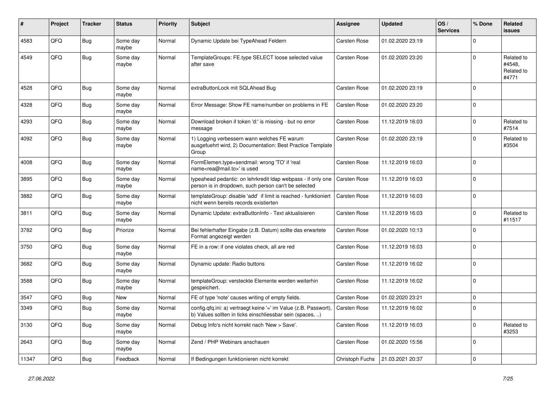| #     | Project | <b>Tracker</b> | <b>Status</b>     | <b>Priority</b> | <b>Subject</b>                                                                                                                | Assignee            | <b>Updated</b>   | OS/<br><b>Services</b> | % Done      | Related<br><b>issues</b>                    |
|-------|---------|----------------|-------------------|-----------------|-------------------------------------------------------------------------------------------------------------------------------|---------------------|------------------|------------------------|-------------|---------------------------------------------|
| 4583  | QFQ     | <b>Bug</b>     | Some day<br>maybe | Normal          | Dynamic Update bei TypeAhead Feldern                                                                                          | <b>Carsten Rose</b> | 01.02.2020 23:19 |                        | $\Omega$    |                                             |
| 4549  | QFQ     | <b>Bug</b>     | Some day<br>maybe | Normal          | TemplateGroups: FE.type SELECT loose selected value<br>after save                                                             | Carsten Rose        | 01.02.2020 23:20 |                        | $\Omega$    | Related to<br>#4548.<br>Related to<br>#4771 |
| 4528  | QFQ     | Bug            | Some day<br>maybe | Normal          | extraButtonLock mit SQLAhead Bug                                                                                              | Carsten Rose        | 01.02.2020 23:19 |                        | $\Omega$    |                                             |
| 4328  | QFQ     | Bug            | Some day<br>maybe | Normal          | Error Message: Show FE name/number on problems in FE                                                                          | <b>Carsten Rose</b> | 01.02.2020 23:20 |                        | $\Omega$    |                                             |
| 4293  | QFQ     | <b>Bug</b>     | Some day<br>maybe | Normal          | Download broken if token 'd:' is missing - but no error<br>message                                                            | Carsten Rose        | 11.12.2019 16:03 |                        | $\Omega$    | Related to<br>#7514                         |
| 4092  | QFQ     | <b>Bug</b>     | Some day<br>maybe | Normal          | 1) Logging verbessern wann welches FE warum<br>ausgefuehrt wird, 2) Documentation: Best Practice Template<br>Group            | <b>Carsten Rose</b> | 01.02.2020 23:19 |                        | $\Omega$    | Related to<br>#3504                         |
| 4008  | QFQ     | Bug            | Some day<br>maybe | Normal          | FormElemen.type=sendmail: wrong 'TO' if 'real<br>name <rea@mail.to>' is used</rea@mail.to>                                    | Carsten Rose        | 11.12.2019 16:03 |                        | $\Omega$    |                                             |
| 3895  | QFQ     | <b>Bug</b>     | Some day<br>maybe | Normal          | typeahead pedantic: on lehrkredit Idap webpass - if only one<br>person is in dropdown, such person can't be selected          | <b>Carsten Rose</b> | 11.12.2019 16:03 |                        | $\Omega$    |                                             |
| 3882  | QFQ     | <b>Bug</b>     | Some day<br>maybe | Normal          | templateGroup: disable 'add' if limit is reached - funktioniert<br>nicht wenn bereits records existierten                     | Carsten Rose        | 11.12.2019 16:03 |                        | $\Omega$    |                                             |
| 3811  | QFQ     | Bug            | Some day<br>maybe | Normal          | Dynamic Update: extraButtonInfo - Text aktualisieren                                                                          | Carsten Rose        | 11.12.2019 16:03 |                        | $\Omega$    | Related to<br>#11517                        |
| 3782  | QFQ     | Bug            | Priorize          | Normal          | Bei fehlerhafter Eingabe (z.B. Datum) sollte das erwartete<br>Format angezeigt werden                                         | Carsten Rose        | 01.02.2020 10:13 |                        | $\mathbf 0$ |                                             |
| 3750  | QFQ     | <b>Bug</b>     | Some day<br>maybe | Normal          | FE in a row: if one violates check, all are red                                                                               | Carsten Rose        | 11.12.2019 16:03 |                        | $\mathbf 0$ |                                             |
| 3682  | QFQ     | <b>Bug</b>     | Some day<br>maybe | Normal          | Dynamic update: Radio buttons                                                                                                 | Carsten Rose        | 11.12.2019 16:02 |                        | $\Omega$    |                                             |
| 3588  | QFQ     | <b>Bug</b>     | Some day<br>maybe | Normal          | templateGroup: versteckte Elemente werden weiterhin<br>gespeichert.                                                           | Carsten Rose        | 11.12.2019 16:02 |                        | $\Omega$    |                                             |
| 3547  | QFQ     | Bug            | <b>New</b>        | Normal          | FE of type 'note' causes writing of empty fields.                                                                             | Carsten Rose        | 01.02.2020 23:21 |                        | $\mathbf 0$ |                                             |
| 3349  | QFQ     | <b>Bug</b>     | Some day<br>maybe | Normal          | config.qfq.ini: a) vertraegt keine '=' im Value (z.B. Passwort),<br>b) Values sollten in ticks einschliessbar sein (spaces, ) | Carsten Rose        | 11.12.2019 16:02 |                        | $\Omega$    |                                             |
| 3130  | QFQ     | <b>Bug</b>     | Some day<br>maybe | Normal          | Debug Info's nicht korrekt nach 'New > Save'.                                                                                 | Carsten Rose        | 11.12.2019 16:03 |                        | $\Omega$    | Related to<br>#3253                         |
| 2643  | QFQ     | <b>Bug</b>     | Some day<br>maybe | Normal          | Zend / PHP Webinars anschauen                                                                                                 | Carsten Rose        | 01.02.2020 15:56 |                        | $\Omega$    |                                             |
| 11347 | QFQ     | Bug            | Feedback          | Normal          | If Bedingungen funktionieren nicht korrekt                                                                                    | Christoph Fuchs     | 21.03.2021 20:37 |                        | $\mathbf 0$ |                                             |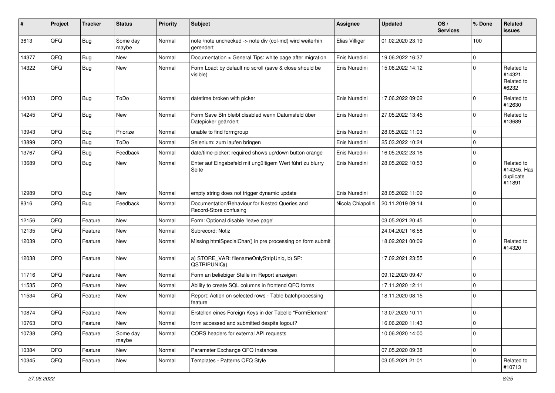| #     | Project | <b>Tracker</b> | <b>Status</b>     | Priority | Subject                                                                   | <b>Assignee</b>   | <b>Updated</b>   | OS/<br><b>Services</b> | % Done      | Related<br><b>issues</b>                         |
|-------|---------|----------------|-------------------|----------|---------------------------------------------------------------------------|-------------------|------------------|------------------------|-------------|--------------------------------------------------|
| 3613  | QFQ     | Bug            | Some day<br>maybe | Normal   | note /note unchecked -> note div (col-md) wird weiterhin<br>gerendert     | Elias Villiger    | 01.02.2020 23:19 |                        | 100         |                                                  |
| 14377 | QFQ     | <b>Bug</b>     | New               | Normal   | Documentation > General Tips: white page after migration                  | Enis Nuredini     | 19.06.2022 16:37 |                        | $\mathbf 0$ |                                                  |
| 14322 | QFQ     | <b>Bug</b>     | New               | Normal   | Form Load: by default no scroll (save & close should be<br>visible)       | Enis Nuredini     | 15.06.2022 14:12 |                        | $\Omega$    | Related to<br>#14321,<br>Related to<br>#6232     |
| 14303 | QFQ     | Bug            | ToDo              | Normal   | datetime broken with picker                                               | Enis Nuredini     | 17.06.2022 09:02 |                        | $\Omega$    | Related to<br>#12630                             |
| 14245 | QFQ     | Bug            | New               | Normal   | Form Save Btn bleibt disabled wenn Datumsfeld über<br>Datepicker geändert | Enis Nuredini     | 27.05.2022 13:45 |                        | 0           | Related to<br>#13689                             |
| 13943 | QFQ     | <b>Bug</b>     | Priorize          | Normal   | unable to find formgroup                                                  | Enis Nuredini     | 28.05.2022 11:03 |                        | $\mathbf 0$ |                                                  |
| 13899 | QFQ     | Bug            | ToDo              | Normal   | Selenium: zum laufen bringen                                              | Enis Nuredini     | 25.03.2022 10:24 |                        | $\mathbf 0$ |                                                  |
| 13767 | QFQ     | <b>Bug</b>     | Feedback          | Normal   | date/time-picker: required shows up/down button orange                    | Enis Nuredini     | 16.05.2022 23:16 |                        | $\mathbf 0$ |                                                  |
| 13689 | QFQ     | <b>Bug</b>     | New               | Normal   | Enter auf Eingabefeld mit ungültigem Wert führt zu blurry<br>Seite        | Enis Nuredini     | 28.05.2022 10:53 |                        | $\Omega$    | Related to<br>#14245, Has<br>duplicate<br>#11891 |
| 12989 | QFQ     | Bug            | New               | Normal   | empty string does not trigger dynamic update                              | Enis Nuredini     | 28.05.2022 11:09 |                        | $\mathbf 0$ |                                                  |
| 8316  | QFQ     | Bug            | Feedback          | Normal   | Documentation/Behaviour for Nested Queries and<br>Record-Store confusing  | Nicola Chiapolini | 20.11.2019 09:14 |                        | $\Omega$    |                                                  |
| 12156 | QFQ     | Feature        | <b>New</b>        | Normal   | Form: Optional disable 'leave page'                                       |                   | 03.05.2021 20:45 |                        | $\mathbf 0$ |                                                  |
| 12135 | QFQ     | Feature        | New               | Normal   | Subrecord: Notiz                                                          |                   | 24.04.2021 16:58 |                        | $\mathbf 0$ |                                                  |
| 12039 | QFQ     | Feature        | New               | Normal   | Missing htmlSpecialChar() in pre processing on form submit                |                   | 18.02.2021 00:09 |                        | $\mathbf 0$ | Related to<br>#14320                             |
| 12038 | QFQ     | Feature        | New               | Normal   | a) STORE_VAR: filenameOnlyStripUniq, b) SP:<br>QSTRIPUNIQ()               |                   | 17.02.2021 23:55 |                        | $\Omega$    |                                                  |
| 11716 | QFQ     | Feature        | New               | Normal   | Form an beliebiger Stelle im Report anzeigen                              |                   | 09.12.2020 09:47 |                        | $\mathbf 0$ |                                                  |
| 11535 | QFQ     | Feature        | New               | Normal   | Ability to create SQL columns in frontend QFQ forms                       |                   | 17.11.2020 12:11 |                        | $\mathbf 0$ |                                                  |
| 11534 | QFQ     | Feature        | New               | Normal   | Report: Action on selected rows - Table batchprocessing<br>feature        |                   | 18.11.2020 08:15 |                        | $\Omega$    |                                                  |
| 10874 | QFQ     | Feature        | New               | Normal   | Erstellen eines Foreign Keys in der Tabelle "FormElement"                 |                   | 13.07.2020 10:11 |                        | 0           |                                                  |
| 10763 | QFQ     | Feature        | New               | Normal   | form accessed and submitted despite logout?                               |                   | 16.06.2020 11:43 |                        | 0           |                                                  |
| 10738 | QFQ     | Feature        | Some day<br>maybe | Normal   | CORS headers for external API requests                                    |                   | 10.06.2020 14:00 |                        | 0           |                                                  |
| 10384 | QFQ     | Feature        | New               | Normal   | Parameter Exchange QFQ Instances                                          |                   | 07.05.2020 09:38 |                        | 0           |                                                  |
| 10345 | QFQ     | Feature        | New               | Normal   | Templates - Patterns QFQ Style                                            |                   | 03.05.2021 21:01 |                        | $\mathbf 0$ | Related to<br>#10713                             |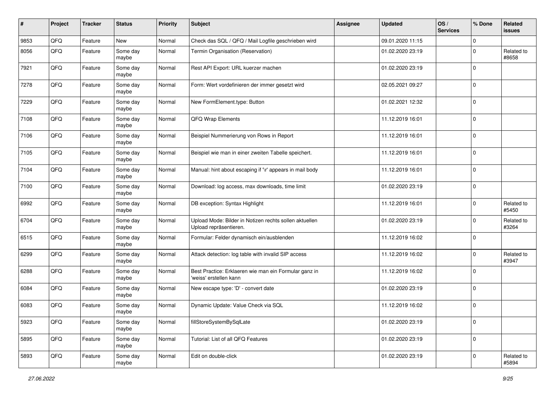| #    | Project | <b>Tracker</b> | <b>Status</b>     | <b>Priority</b> | <b>Subject</b>                                                                   | <b>Assignee</b> | <b>Updated</b>   | OS/<br><b>Services</b> | % Done      | Related<br><b>issues</b> |
|------|---------|----------------|-------------------|-----------------|----------------------------------------------------------------------------------|-----------------|------------------|------------------------|-------------|--------------------------|
| 9853 | QFQ     | Feature        | New               | Normal          | Check das SQL / QFQ / Mail Logfile geschrieben wird                              |                 | 09.01.2020 11:15 |                        | $\mathbf 0$ |                          |
| 8056 | QFQ     | Feature        | Some day<br>maybe | Normal          | Termin Organisation (Reservation)                                                |                 | 01.02.2020 23:19 |                        | $\Omega$    | Related to<br>#8658      |
| 7921 | QFQ     | Feature        | Some day<br>maybe | Normal          | Rest API Export: URL kuerzer machen                                              |                 | 01.02.2020 23:19 |                        | $\mathbf 0$ |                          |
| 7278 | QFQ     | Feature        | Some day<br>maybe | Normal          | Form: Wert vordefinieren der immer gesetzt wird                                  |                 | 02.05.2021 09:27 |                        | 0           |                          |
| 7229 | QFQ     | Feature        | Some day<br>maybe | Normal          | New FormElement.type: Button                                                     |                 | 01.02.2021 12:32 |                        | $\mathbf 0$ |                          |
| 7108 | QFQ     | Feature        | Some day<br>maybe | Normal          | QFQ Wrap Elements                                                                |                 | 11.12.2019 16:01 |                        | 0           |                          |
| 7106 | QFQ     | Feature        | Some day<br>maybe | Normal          | Beispiel Nummerierung von Rows in Report                                         |                 | 11.12.2019 16:01 |                        | 0           |                          |
| 7105 | QFQ     | Feature        | Some day<br>maybe | Normal          | Beispiel wie man in einer zweiten Tabelle speichert.                             |                 | 11.12.2019 16:01 |                        | 0           |                          |
| 7104 | QFQ     | Feature        | Some day<br>maybe | Normal          | Manual: hint about escaping if '\r' appears in mail body                         |                 | 11.12.2019 16:01 |                        | $\mathbf 0$ |                          |
| 7100 | QFQ     | Feature        | Some day<br>maybe | Normal          | Download: log access, max downloads, time limit                                  |                 | 01.02.2020 23:19 |                        | $\mathbf 0$ |                          |
| 6992 | QFQ     | Feature        | Some day<br>maybe | Normal          | DB exception: Syntax Highlight                                                   |                 | 11.12.2019 16:01 |                        | $\mathbf 0$ | Related to<br>#5450      |
| 6704 | QFQ     | Feature        | Some day<br>maybe | Normal          | Upload Mode: Bilder in Notizen rechts sollen aktuellen<br>Upload repräsentieren. |                 | 01.02.2020 23:19 |                        | $\mathbf 0$ | Related to<br>#3264      |
| 6515 | QFQ     | Feature        | Some day<br>maybe | Normal          | Formular: Felder dynamisch ein/ausblenden                                        |                 | 11.12.2019 16:02 |                        | 0           |                          |
| 6299 | QFQ     | Feature        | Some day<br>maybe | Normal          | Attack detection: log table with invalid SIP access                              |                 | 11.12.2019 16:02 |                        | $\mathbf 0$ | Related to<br>#3947      |
| 6288 | QFQ     | Feature        | Some day<br>maybe | Normal          | Best Practice: Erklaeren wie man ein Formular ganz in<br>'weiss' erstellen kann  |                 | 11.12.2019 16:02 |                        | 0           |                          |
| 6084 | QFQ     | Feature        | Some day<br>maybe | Normal          | New escape type: 'D' - convert date                                              |                 | 01.02.2020 23:19 |                        | $\mathbf 0$ |                          |
| 6083 | QFQ     | Feature        | Some day<br>maybe | Normal          | Dynamic Update: Value Check via SQL                                              |                 | 11.12.2019 16:02 |                        | 0           |                          |
| 5923 | QFQ     | Feature        | Some day<br>maybe | Normal          | fillStoreSystemBySqlLate                                                         |                 | 01.02.2020 23:19 |                        | 0           |                          |
| 5895 | QFQ     | Feature        | Some day<br>maybe | Normal          | Tutorial: List of all QFQ Features                                               |                 | 01.02.2020 23:19 |                        | 0           |                          |
| 5893 | QFG     | Feature        | Some day<br>maybe | Normal          | Edit on double-click                                                             |                 | 01.02.2020 23:19 |                        | $\mathbf 0$ | Related to<br>#5894      |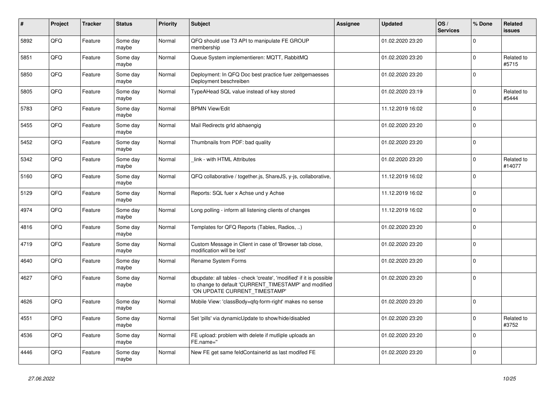| $\vert$ # | Project | <b>Tracker</b> | <b>Status</b>     | <b>Priority</b> | <b>Subject</b>                                                                                                                                                | Assignee | <b>Updated</b>   | OS/<br><b>Services</b> | % Done      | Related<br>issues    |
|-----------|---------|----------------|-------------------|-----------------|---------------------------------------------------------------------------------------------------------------------------------------------------------------|----------|------------------|------------------------|-------------|----------------------|
| 5892      | QFQ     | Feature        | Some day<br>maybe | Normal          | QFQ should use T3 API to manipulate FE GROUP<br>membership                                                                                                    |          | 01.02.2020 23:20 |                        | $\Omega$    |                      |
| 5851      | QFQ     | Feature        | Some day<br>maybe | Normal          | Queue System implementieren: MQTT, RabbitMQ                                                                                                                   |          | 01.02.2020 23:20 |                        | $\Omega$    | Related to<br>#5715  |
| 5850      | QFQ     | Feature        | Some day<br>maybe | Normal          | Deployment: In QFQ Doc best practice fuer zeitgemaesses<br>Deployment beschreiben                                                                             |          | 01.02.2020 23:20 |                        | $\Omega$    |                      |
| 5805      | QFQ     | Feature        | Some day<br>maybe | Normal          | TypeAHead SQL value instead of key stored                                                                                                                     |          | 01.02.2020 23:19 |                        | $\Omega$    | Related to<br>#5444  |
| 5783      | QFQ     | Feature        | Some day<br>maybe | Normal          | <b>BPMN View/Edit</b>                                                                                                                                         |          | 11.12.2019 16:02 |                        | $\Omega$    |                      |
| 5455      | QFQ     | Feature        | Some day<br>maybe | Normal          | Mail Redirects grld abhaengig                                                                                                                                 |          | 01.02.2020 23:20 |                        | $\Omega$    |                      |
| 5452      | QFQ     | Feature        | Some day<br>maybe | Normal          | Thumbnails from PDF: bad quality                                                                                                                              |          | 01.02.2020 23:20 |                        | $\Omega$    |                      |
| 5342      | QFQ     | Feature        | Some day<br>maybe | Normal          | link - with HTML Attributes                                                                                                                                   |          | 01.02.2020 23:20 |                        | $\Omega$    | Related to<br>#14077 |
| 5160      | QFQ     | Feature        | Some day<br>maybe | Normal          | QFQ collaborative / together.js, ShareJS, y-js, collaborative,                                                                                                |          | 11.12.2019 16:02 |                        | $\Omega$    |                      |
| 5129      | QFQ     | Feature        | Some day<br>maybe | Normal          | Reports: SQL fuer x Achse und y Achse                                                                                                                         |          | 11.12.2019 16:02 |                        | $\mathbf 0$ |                      |
| 4974      | QFQ     | Feature        | Some day<br>maybe | Normal          | Long polling - inform all listening clients of changes                                                                                                        |          | 11.12.2019 16:02 |                        | $\Omega$    |                      |
| 4816      | QFQ     | Feature        | Some day<br>maybe | Normal          | Templates for QFQ Reports (Tables, Radios, )                                                                                                                  |          | 01.02.2020 23:20 |                        | $\Omega$    |                      |
| 4719      | QFQ     | Feature        | Some day<br>maybe | Normal          | Custom Message in Client in case of 'Browser tab close,<br>modification will be lost'                                                                         |          | 01.02.2020 23:20 |                        | $\Omega$    |                      |
| 4640      | QFQ     | Feature        | Some day<br>maybe | Normal          | Rename System Forms                                                                                                                                           |          | 01.02.2020 23:20 |                        | $\Omega$    |                      |
| 4627      | QFQ     | Feature        | Some day<br>maybe | Normal          | dbupdate: all tables - check 'create', 'modified' if it is possible<br>to change to default 'CURRENT_TIMESTAMP' and modified<br>'ON UPDATE CURRENT_TIMESTAMP' |          | 01.02.2020 23:20 |                        | $\Omega$    |                      |
| 4626      | QFQ     | Feature        | Some day<br>maybe | Normal          | Mobile View: 'classBody=qfq-form-right' makes no sense                                                                                                        |          | 01.02.2020 23:20 |                        | $\Omega$    |                      |
| 4551      | QFQ     | Feature        | Some day<br>maybe | Normal          | Set 'pills' via dynamicUpdate to show/hide/disabled                                                                                                           |          | 01.02.2020 23:20 |                        | $\Omega$    | Related to<br>#3752  |
| 4536      | QFQ     | Feature        | Some day<br>maybe | Normal          | FE upload: problem with delete if mutliple uploads an<br>FE.name="                                                                                            |          | 01.02.2020 23:20 |                        | $\Omega$    |                      |
| 4446      | QFQ     | Feature        | Some day<br>maybe | Normal          | New FE get same feldContainerId as last modifed FE                                                                                                            |          | 01.02.2020 23:20 |                        | $\Omega$    |                      |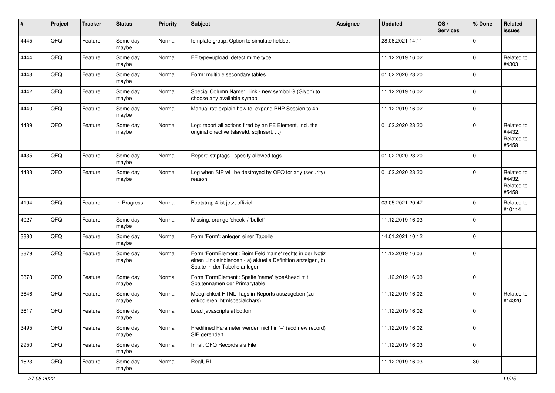| $\sharp$ | Project | <b>Tracker</b> | <b>Status</b>     | <b>Priority</b> | <b>Subject</b>                                                                                                                                           | Assignee | <b>Updated</b>   | OS/<br><b>Services</b> | % Done      | Related<br>issues                           |
|----------|---------|----------------|-------------------|-----------------|----------------------------------------------------------------------------------------------------------------------------------------------------------|----------|------------------|------------------------|-------------|---------------------------------------------|
| 4445     | QFQ     | Feature        | Some day<br>maybe | Normal          | template group: Option to simulate fieldset                                                                                                              |          | 28.06.2021 14:11 |                        | $\Omega$    |                                             |
| 4444     | QFQ     | Feature        | Some day<br>maybe | Normal          | FE.type=upload: detect mime type                                                                                                                         |          | 11.12.2019 16:02 |                        | $\mathbf 0$ | Related to<br>#4303                         |
| 4443     | QFQ     | Feature        | Some day<br>maybe | Normal          | Form: multiple secondary tables                                                                                                                          |          | 01.02.2020 23:20 |                        | $\Omega$    |                                             |
| 4442     | QFQ     | Feature        | Some day<br>maybe | Normal          | Special Column Name: _link - new symbol G (Glyph) to<br>choose any available symbol                                                                      |          | 11.12.2019 16:02 |                        | $\mathbf 0$ |                                             |
| 4440     | QFQ     | Feature        | Some day<br>maybe | Normal          | Manual.rst: explain how to. expand PHP Session to 4h                                                                                                     |          | 11.12.2019 16:02 |                        | $\mathbf 0$ |                                             |
| 4439     | QFQ     | Feature        | Some day<br>maybe | Normal          | Log: report all actions fired by an FE Element, incl. the<br>original directive (slaveld, sqlInsert, )                                                   |          | 01.02.2020 23:20 |                        | $\Omega$    | Related to<br>#4432,<br>Related to<br>#5458 |
| 4435     | QFQ     | Feature        | Some day<br>maybe | Normal          | Report: striptags - specify allowed tags                                                                                                                 |          | 01.02.2020 23:20 |                        | $\Omega$    |                                             |
| 4433     | QFQ     | Feature        | Some day<br>maybe | Normal          | Log when SIP will be destroyed by QFQ for any (security)<br>reason                                                                                       |          | 01.02.2020 23:20 |                        | $\Omega$    | Related to<br>#4432,<br>Related to<br>#5458 |
| 4194     | QFQ     | Feature        | In Progress       | Normal          | Bootstrap 4 ist jetzt offiziel                                                                                                                           |          | 03.05.2021 20:47 |                        | $\mathbf 0$ | Related to<br>#10114                        |
| 4027     | QFQ     | Feature        | Some day<br>maybe | Normal          | Missing: orange 'check' / 'bullet'                                                                                                                       |          | 11.12.2019 16:03 |                        | $\Omega$    |                                             |
| 3880     | QFQ     | Feature        | Some day<br>maybe | Normal          | Form 'Form': anlegen einer Tabelle                                                                                                                       |          | 14.01.2021 10:12 |                        | $\Omega$    |                                             |
| 3879     | QFQ     | Feature        | Some day<br>maybe | Normal          | Form 'FormElement': Beim Feld 'name' rechts in der Notiz<br>einen Link einblenden - a) aktuelle Definition anzeigen, b)<br>Spalte in der Tabelle anlegen |          | 11.12.2019 16:03 |                        | 0           |                                             |
| 3878     | QFQ     | Feature        | Some day<br>maybe | Normal          | Form 'FormElement': Spalte 'name' typeAhead mit<br>Spaltennamen der Primarytable.                                                                        |          | 11.12.2019 16:03 |                        | $\Omega$    |                                             |
| 3646     | QFQ     | Feature        | Some day<br>maybe | Normal          | Moeglichkeit HTML Tags in Reports auszugeben (zu<br>enkodieren: htmlspecialchars)                                                                        |          | 11.12.2019 16:02 |                        | $\Omega$    | Related to<br>#14320                        |
| 3617     | QFQ     | Feature        | Some day<br>maybe | Normal          | Load javascripts at bottom                                                                                                                               |          | 11.12.2019 16:02 |                        | 0           |                                             |
| 3495     | QFQ     | Feature        | Some day<br>maybe | Normal          | Predifined Parameter werden nicht in '+' (add new record)<br>SIP gerendert.                                                                              |          | 11.12.2019 16:02 |                        | $\Omega$    |                                             |
| 2950     | QFQ     | Feature        | Some day<br>maybe | Normal          | Inhalt QFQ Records als File                                                                                                                              |          | 11.12.2019 16:03 |                        | 0           |                                             |
| 1623     | QFQ     | Feature        | Some day<br>maybe | Normal          | RealURL                                                                                                                                                  |          | 11.12.2019 16:03 |                        | 30          |                                             |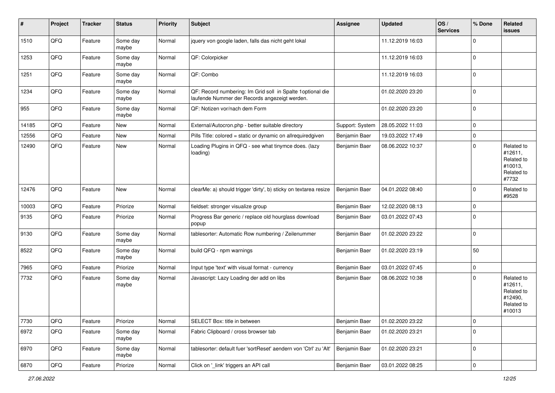| ∦     | Project        | <b>Tracker</b> | <b>Status</b>     | <b>Priority</b> | <b>Subject</b>                                                                                               | Assignee        | <b>Updated</b>   | OS/<br><b>Services</b> | % Done      | Related<br><b>issues</b>                                               |
|-------|----------------|----------------|-------------------|-----------------|--------------------------------------------------------------------------------------------------------------|-----------------|------------------|------------------------|-------------|------------------------------------------------------------------------|
| 1510  | QFQ            | Feature        | Some day<br>maybe | Normal          | jquery von google laden, falls das nicht geht lokal                                                          |                 | 11.12.2019 16:03 |                        | $\Omega$    |                                                                        |
| 1253  | QFQ            | Feature        | Some day<br>maybe | Normal          | QF: Colorpicker                                                                                              |                 | 11.12.2019 16:03 |                        | 0           |                                                                        |
| 1251  | QFQ            | Feature        | Some day<br>maybe | Normal          | QF: Combo                                                                                                    |                 | 11.12.2019 16:03 |                        | $\Omega$    |                                                                        |
| 1234  | QFQ            | Feature        | Some day<br>maybe | Normal          | QF: Record numbering: Im Grid soll in Spalte 1 optional die<br>laufende Nummer der Records angezeigt werden. |                 | 01.02.2020 23:20 |                        | 0           |                                                                        |
| 955   | QFQ            | Feature        | Some day<br>maybe | Normal          | QF: Notizen vor/nach dem Form                                                                                |                 | 01.02.2020 23:20 |                        | $\mathbf 0$ |                                                                        |
| 14185 | QFQ            | Feature        | New               | Normal          | External/Autocron.php - better suitable directory                                                            | Support: System | 28.05.2022 11:03 |                        | $\Omega$    |                                                                        |
| 12556 | QFQ            | Feature        | New               | Normal          | Pills Title: colored = static or dynamic on allrequiredgiven                                                 | Benjamin Baer   | 19.03.2022 17:49 |                        | $\mathbf 0$ |                                                                        |
| 12490 | QFQ            | Feature        | New               | Normal          | Loading Plugins in QFQ - see what tinymce does. (lazy<br>loading)                                            | Benjamin Baer   | 08.06.2022 10:37 |                        | $\Omega$    | Related to<br>#12611,<br>Related to<br>#10013,<br>Related to<br>#7732  |
| 12476 | QFQ            | Feature        | New               | Normal          | clearMe: a) should trigger 'dirty', b) sticky on textarea resize                                             | Benjamin Baer   | 04.01.2022 08:40 |                        | $\Omega$    | Related to<br>#9528                                                    |
| 10003 | QFQ            | Feature        | Priorize          | Normal          | fieldset: stronger visualize group                                                                           | Benjamin Baer   | 12.02.2020 08:13 |                        | $\mathbf 0$ |                                                                        |
| 9135  | QFQ            | Feature        | Priorize          | Normal          | Progress Bar generic / replace old hourglass download<br>popup                                               | Benjamin Baer   | 03.01.2022 07:43 |                        | $\mathbf 0$ |                                                                        |
| 9130  | QFQ            | Feature        | Some day<br>maybe | Normal          | tablesorter: Automatic Row numbering / Zeilenummer                                                           | Benjamin Baer   | 01.02.2020 23:22 |                        | $\mathbf 0$ |                                                                        |
| 8522  | QFQ            | Feature        | Some day<br>maybe | Normal          | build QFQ - npm warnings                                                                                     | Benjamin Baer   | 01.02.2020 23:19 |                        | 50          |                                                                        |
| 7965  | QFQ            | Feature        | Priorize          | Normal          | Input type 'text' with visual format - currency                                                              | Benjamin Baer   | 03.01.2022 07:45 |                        | 0           |                                                                        |
| 7732  | QFQ            | Feature        | Some day<br>maybe | Normal          | Javascript: Lazy Loading der add on libs                                                                     | Benjamin Baer   | 08.06.2022 10:38 |                        | $\Omega$    | Related to<br>#12611,<br>Related to<br>#12490,<br>Related to<br>#10013 |
| 7730  | QFQ            | Feature        | Priorize          | Normal          | SELECT Box: title in between                                                                                 | Benjamin Baer   | 01.02.2020 23:22 |                        | 0           |                                                                        |
| 6972  | QFQ            | Feature        | Some day<br>maybe | Normal          | Fabric Clipboard / cross browser tab                                                                         | Benjamin Baer   | 01.02.2020 23:21 |                        | $\mathbf 0$ |                                                                        |
| 6970  | QFQ            | Feature        | Some day<br>maybe | Normal          | tablesorter: default fuer 'sortReset' aendern von 'Ctrl' zu 'Alt'                                            | Benjamin Baer   | 01.02.2020 23:21 |                        | 0           |                                                                        |
| 6870  | $\mathsf{QFQ}$ | Feature        | Priorize          | Normal          | Click on '_link' triggers an API call                                                                        | Benjamin Baer   | 03.01.2022 08:25 |                        | 0           |                                                                        |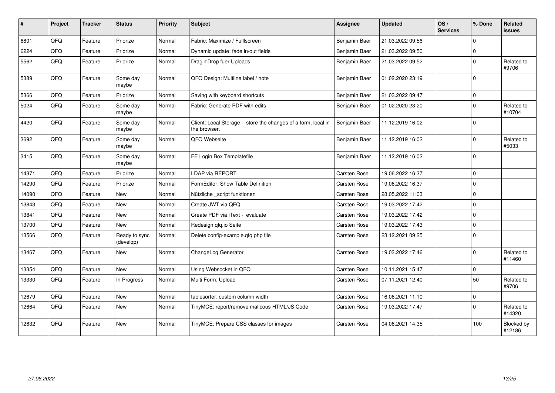| #     | Project | <b>Tracker</b> | <b>Status</b>              | <b>Priority</b> | Subject                                                                       | Assignee            | <b>Updated</b>   | OS/<br><b>Services</b> | % Done       | Related<br>issues    |
|-------|---------|----------------|----------------------------|-----------------|-------------------------------------------------------------------------------|---------------------|------------------|------------------------|--------------|----------------------|
| 6801  | QFQ     | Feature        | Priorize                   | Normal          | Fabric: Maximize / FullIscreen                                                | Benjamin Baer       | 21.03.2022 09:56 |                        | $\Omega$     |                      |
| 6224  | QFQ     | Feature        | Priorize                   | Normal          | Dynamic update: fade in/out fields                                            | Benjamin Baer       | 21.03.2022 09:50 |                        | $\Omega$     |                      |
| 5562  | QFQ     | Feature        | Priorize                   | Normal          | Drag'n'Drop fuer Uploads                                                      | Benjamin Baer       | 21.03.2022 09:52 |                        | $\Omega$     | Related to<br>#9706  |
| 5389  | QFQ     | Feature        | Some day<br>maybe          | Normal          | QFQ Design: Multline label / note                                             | Benjamin Baer       | 01.02.2020 23:19 |                        | $\Omega$     |                      |
| 5366  | QFQ     | Feature        | Priorize                   | Normal          | Saving with keyboard shortcuts                                                | Benjamin Baer       | 21.03.2022 09:47 |                        | $\Omega$     |                      |
| 5024  | QFQ     | Feature        | Some day<br>maybe          | Normal          | Fabric: Generate PDF with edits                                               | Benjamin Baer       | 01.02.2020 23:20 |                        | $\Omega$     | Related to<br>#10704 |
| 4420  | QFQ     | Feature        | Some day<br>maybe          | Normal          | Client: Local Storage - store the changes of a form, local in<br>the browser. | Benjamin Baer       | 11.12.2019 16:02 |                        | $\Omega$     |                      |
| 3692  | QFQ     | Feature        | Some day<br>maybe          | Normal          | QFQ Webseite                                                                  | Benjamin Baer       | 11.12.2019 16:02 |                        | $\Omega$     | Related to<br>#5033  |
| 3415  | QFQ     | Feature        | Some day<br>maybe          | Normal          | FE Login Box Templatefile                                                     | Benjamin Baer       | 11.12.2019 16:02 |                        | $\mathbf{0}$ |                      |
| 14371 | QFQ     | Feature        | Priorize                   | Normal          | <b>LDAP via REPORT</b>                                                        | Carsten Rose        | 19.06.2022 16:37 |                        | $\mathbf{0}$ |                      |
| 14290 | QFQ     | Feature        | Priorize                   | Normal          | FormEditor: Show Table Definition                                             | Carsten Rose        | 19.06.2022 16:37 |                        | $\Omega$     |                      |
| 14090 | QFQ     | Feature        | <b>New</b>                 | Normal          | Nützliche _script funktionen                                                  | Carsten Rose        | 28.05.2022 11:03 |                        | $\Omega$     |                      |
| 13843 | QFQ     | Feature        | <b>New</b>                 | Normal          | Create JWT via QFQ                                                            | Carsten Rose        | 19.03.2022 17:42 |                        | $\Omega$     |                      |
| 13841 | QFQ     | Feature        | <b>New</b>                 | Normal          | Create PDF via iText - evaluate                                               | Carsten Rose        | 19.03.2022 17:42 |                        | $\Omega$     |                      |
| 13700 | QFQ     | Feature        | <b>New</b>                 | Normal          | Redesign qfq.io Seite                                                         | Carsten Rose        | 19.03.2022 17:43 |                        | $\Omega$     |                      |
| 13566 | QFQ     | Feature        | Ready to sync<br>(develop) | Normal          | Delete config-example.gfg.php file                                            | Carsten Rose        | 23.12.2021 09:25 |                        | $\Omega$     |                      |
| 13467 | QFQ     | Feature        | New                        | Normal          | ChangeLog Generator                                                           | Carsten Rose        | 19.03.2022 17:46 |                        | $\Omega$     | Related to<br>#11460 |
| 13354 | QFQ     | Feature        | New                        | Normal          | Using Websocket in QFQ                                                        | Carsten Rose        | 10.11.2021 15:47 |                        | $\mathbf 0$  |                      |
| 13330 | QFQ     | Feature        | In Progress                | Normal          | Multi Form: Upload                                                            | Carsten Rose        | 07.11.2021 12:40 |                        | 50           | Related to<br>#9706  |
| 12679 | QFQ     | Feature        | <b>New</b>                 | Normal          | tablesorter: custom column width                                              | <b>Carsten Rose</b> | 16.06.2021 11:10 |                        | $\mathbf 0$  |                      |
| 12664 | QFQ     | Feature        | <b>New</b>                 | Normal          | TinyMCE: report/remove malicous HTML/JS Code                                  | Carsten Rose        | 19.03.2022 17:47 |                        | $\Omega$     | Related to<br>#14320 |
| 12632 | QFQ     | Feature        | <b>New</b>                 | Normal          | TinyMCE: Prepare CSS classes for images                                       | Carsten Rose        | 04.06.2021 14:35 |                        | 100          | Blocked by<br>#12186 |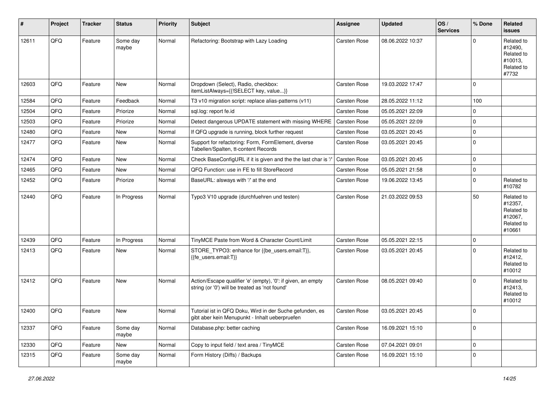| $\sharp$ | Project | <b>Tracker</b> | <b>Status</b>     | Priority | Subject                                                                                                        | <b>Assignee</b>     | Updated          | OS/<br><b>Services</b> | % Done      | Related<br><b>issues</b>                                               |
|----------|---------|----------------|-------------------|----------|----------------------------------------------------------------------------------------------------------------|---------------------|------------------|------------------------|-------------|------------------------------------------------------------------------|
| 12611    | QFQ     | Feature        | Some day<br>maybe | Normal   | Refactoring: Bootstrap with Lazy Loading                                                                       | Carsten Rose        | 08.06.2022 10:37 |                        | ∩           | Related to<br>#12490,<br>Related to<br>#10013,<br>Related to<br>#7732  |
| 12603    | QFQ     | Feature        | New               | Normal   | Dropdown (Select), Radio, checkbox:<br>itemListAlways={{!SELECT key, value}}                                   | Carsten Rose        | 19.03.2022 17:47 |                        | $\Omega$    |                                                                        |
| 12584    | QFQ     | Feature        | Feedback          | Normal   | T3 v10 migration script: replace alias-patterns (v11)                                                          | Carsten Rose        | 28.05.2022 11:12 |                        | 100         |                                                                        |
| 12504    | QFQ     | Feature        | Priorize          | Normal   | sql.log: report fe.id                                                                                          | Carsten Rose        | 05.05.2021 22:09 |                        | $\mathbf 0$ |                                                                        |
| 12503    | QFQ     | Feature        | Priorize          | Normal   | Detect dangerous UPDATE statement with missing WHERE                                                           | <b>Carsten Rose</b> | 05.05.2021 22:09 |                        | $\mathbf 0$ |                                                                        |
| 12480    | QFQ     | Feature        | New               | Normal   | If QFQ upgrade is running, block further request                                                               | <b>Carsten Rose</b> | 03.05.2021 20:45 |                        | $\mathbf 0$ |                                                                        |
| 12477    | QFQ     | Feature        | New               | Normal   | Support for refactoring: Form, FormElement, diverse<br>Tabellen/Spalten, tt-content Records                    | Carsten Rose        | 03.05.2021 20:45 |                        | 0           |                                                                        |
| 12474    | QFQ     | Feature        | New               | Normal   | Check BaseConfigURL if it is given and the the last char is '/                                                 | Carsten Rose        | 03.05.2021 20:45 |                        | $\mathbf 0$ |                                                                        |
| 12465    | QFQ     | Feature        | New               | Normal   | QFQ Function: use in FE to fill StoreRecord                                                                    | Carsten Rose        | 05.05.2021 21:58 |                        | $\mathbf 0$ |                                                                        |
| 12452    | QFQ     | Feature        | Priorize          | Normal   | BaseURL: alsways with '/' at the end                                                                           | Carsten Rose        | 19.06.2022 13:45 |                        | $\mathbf 0$ | Related to<br>#10782                                                   |
| 12440    | QFQ     | Feature        | In Progress       | Normal   | Typo3 V10 upgrade (durchfuehren und testen)                                                                    | Carsten Rose        | 21.03.2022 09:53 |                        | 50          | Related to<br>#12357,<br>Related to<br>#12067,<br>Related to<br>#10661 |
| 12439    | QFQ     | Feature        | In Progress       | Normal   | TinyMCE Paste from Word & Character Count/Limit                                                                | Carsten Rose        | 05.05.2021 22:15 |                        | $\mathbf 0$ |                                                                        |
| 12413    | QFQ     | Feature        | New               | Normal   | STORE_TYPO3: enhance for {{be_users.email:T}},<br>{{fe users.email:T}}                                         | <b>Carsten Rose</b> | 03.05.2021 20:45 |                        | $\Omega$    | Related to<br>#12412,<br>Related to<br>#10012                          |
| 12412    | QFQ     | Feature        | <b>New</b>        | Normal   | Action/Escape qualifier 'e' (empty), '0': if given, an empty<br>string (or '0') will be treated as 'not found' | <b>Carsten Rose</b> | 08.05.2021 09:40 |                        | $\Omega$    | Related to<br>#12413,<br>Related to<br>#10012                          |
| 12400    | QFQ     | Feature        | New               | Normal   | Tutorial ist in QFQ Doku, Wird in der Suche gefunden, es<br>gibt aber kein Menupunkt - Inhalt ueberpruefen     | <b>Carsten Rose</b> | 03.05.2021 20:45 |                        | 0           |                                                                        |
| 12337    | QFQ     | Feature        | Some day<br>maybe | Normal   | Database.php: better caching                                                                                   | Carsten Rose        | 16.09.2021 15:10 |                        | 0           |                                                                        |
| 12330    | QFQ     | Feature        | New               | Normal   | Copy to input field / text area / TinyMCE                                                                      | Carsten Rose        | 07.04.2021 09:01 |                        | $\mathbf 0$ |                                                                        |
| 12315    | QFQ     | Feature        | Some day<br>maybe | Normal   | Form History (Diffs) / Backups                                                                                 | Carsten Rose        | 16.09.2021 15:10 |                        | $\mathbf 0$ |                                                                        |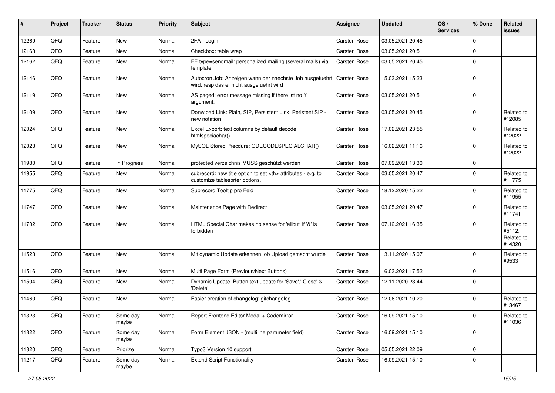| ∦     | Project | <b>Tracker</b> | <b>Status</b>     | <b>Priority</b> | Subject                                                                                              | Assignee                                               | <b>Updated</b>   | OS/<br><b>Services</b> | % Done      | Related<br><b>issues</b>                     |                      |
|-------|---------|----------------|-------------------|-----------------|------------------------------------------------------------------------------------------------------|--------------------------------------------------------|------------------|------------------------|-------------|----------------------------------------------|----------------------|
| 12269 | QFQ     | Feature        | New               | Normal          | 2FA - Login                                                                                          | Carsten Rose                                           | 03.05.2021 20:45 |                        | $\Omega$    |                                              |                      |
| 12163 | QFQ     | Feature        | <b>New</b>        | Normal          | Checkbox: table wrap                                                                                 | Carsten Rose                                           | 03.05.2021 20:51 |                        | $\mathbf 0$ |                                              |                      |
| 12162 | QFQ     | Feature        | <b>New</b>        | Normal          | FE.type=sendmail: personalized mailing (several mails) via<br>template                               | Carsten Rose                                           | 03.05.2021 20:45 |                        | $\Omega$    |                                              |                      |
| 12146 | QFQ     | Feature        | New               | Normal          | Autocron Job: Anzeigen wann der naechste Job ausgefuehrt<br>wird, resp das er nicht ausgefuehrt wird | <b>Carsten Rose</b>                                    | 15.03.2021 15:23 |                        | $\Omega$    |                                              |                      |
| 12119 | QFQ     | Feature        | New               | Normal          | AS paged: error message missing if there ist no 'r'<br>argument.                                     | Carsten Rose                                           | 03.05.2021 20:51 |                        | $\mathbf 0$ |                                              |                      |
| 12109 | QFQ     | Feature        | <b>New</b>        | Normal          | Donwload Link: Plain, SIP, Persistent Link, Peristent SIP -<br>new notation                          | Carsten Rose                                           | 03.05.2021 20:45 |                        | 0           | Related to<br>#12085                         |                      |
| 12024 | QFQ     | Feature        | <b>New</b>        | Normal          | Excel Export: text columns by default decode<br>htmlspeciachar()                                     | Carsten Rose                                           | 17.02.2021 23:55 |                        | $\Omega$    | Related to<br>#12022                         |                      |
| 12023 | QFQ     | Feature        | <b>New</b>        | Normal          | MySQL Stored Precdure: QDECODESPECIALCHAR()                                                          | Carsten Rose                                           | 16.02.2021 11:16 |                        | $\Omega$    | Related to<br>#12022                         |                      |
| 11980 | QFQ     | Feature        | In Progress       | Normal          | protected verzeichnis MUSS geschützt werden                                                          | Carsten Rose                                           | 07.09.2021 13:30 |                        | $\mathbf 0$ |                                              |                      |
| 11955 | QFQ     | Feature        | <b>New</b>        | Normal          | subrecord: new title option to set <th> attributes - e.g. to<br/>customize tablesorter options.</th> | attributes - e.g. to<br>customize tablesorter options. | Carsten Rose     | 03.05.2021 20:47       |             | $\Omega$                                     | Related to<br>#11775 |
| 11775 | QFQ     | Feature        | <b>New</b>        | Normal          | Subrecord Tooltip pro Feld                                                                           | Carsten Rose                                           | 18.12.2020 15:22 |                        | $\mathbf 0$ | Related to<br>#11955                         |                      |
| 11747 | QFQ     | Feature        | <b>New</b>        | Normal          | Maintenance Page with Redirect                                                                       | Carsten Rose                                           | 03.05.2021 20:47 |                        | $\Omega$    | Related to<br>#11741                         |                      |
| 11702 | QFQ     | Feature        | <b>New</b>        | Normal          | HTML Special Char makes no sense for 'allbut' if '&' is<br>forbidden                                 | Carsten Rose                                           | 07.12.2021 16:35 |                        | $\Omega$    | Related to<br>#5112,<br>Related to<br>#14320 |                      |
| 11523 | QFQ     | Feature        | New               | Normal          | Mit dynamic Update erkennen, ob Upload gemacht wurde                                                 | Carsten Rose                                           | 13.11.2020 15:07 |                        | $\Omega$    | Related to<br>#9533                          |                      |
| 11516 | QFQ     | Feature        | <b>New</b>        | Normal          | Multi Page Form (Previous/Next Buttons)                                                              | Carsten Rose                                           | 16.03.2021 17:52 |                        | $\mathbf 0$ |                                              |                      |
| 11504 | QFQ     | Feature        | <b>New</b>        | Normal          | Dynamic Update: Button text update for 'Save',' Close' &<br>'Delete'                                 | Carsten Rose                                           | 12.11.2020 23:44 |                        | $\Omega$    |                                              |                      |
| 11460 | QFQ     | Feature        | <b>New</b>        | Normal          | Easier creation of changelog: gitchangelog                                                           | Carsten Rose                                           | 12.06.2021 10:20 |                        | 0           | Related to<br>#13467                         |                      |
| 11323 | QFQ     | Feature        | Some day<br>maybe | Normal          | Report Frontend Editor Modal + Codemirror                                                            | Carsten Rose                                           | 16.09.2021 15:10 |                        | 0           | Related to<br>#11036                         |                      |
| 11322 | QFQ     | Feature        | Some day<br>maybe | Normal          | Form Element JSON - (multiline parameter field)                                                      | Carsten Rose                                           | 16.09.2021 15:10 |                        | 0           |                                              |                      |
| 11320 | QFQ     | Feature        | Priorize          | Normal          | Typo3 Version 10 support                                                                             | Carsten Rose                                           | 05.05.2021 22:09 |                        | 0           |                                              |                      |
| 11217 | QFQ     | Feature        | Some day<br>maybe | Normal          | <b>Extend Script Functionality</b>                                                                   | Carsten Rose                                           | 16.09.2021 15:10 |                        | 0           |                                              |                      |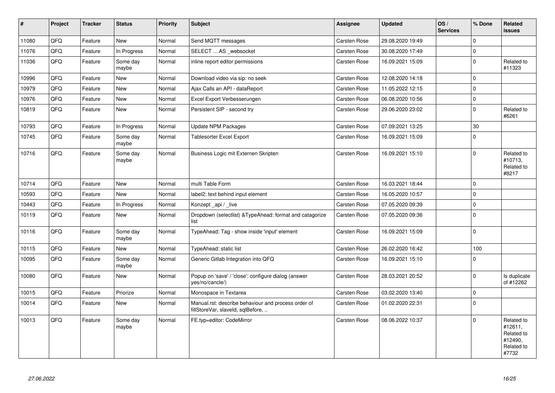| $\vert$ # | <b>Project</b> | <b>Tracker</b> | <b>Status</b>     | <b>Priority</b> | <b>Subject</b>                                                                           | <b>Assignee</b>     | <b>Updated</b>   | OS/<br><b>Services</b> | % Done      | Related<br>issues                                                     |
|-----------|----------------|----------------|-------------------|-----------------|------------------------------------------------------------------------------------------|---------------------|------------------|------------------------|-------------|-----------------------------------------------------------------------|
| 11080     | QFQ            | Feature        | <b>New</b>        | Normal          | Send MQTT messages                                                                       | Carsten Rose        | 29.08.2020 19:49 |                        | $\Omega$    |                                                                       |
| 11076     | QFQ            | Feature        | In Progress       | Normal          | SELECT  AS websocket                                                                     | Carsten Rose        | 30.08.2020 17:49 |                        | $\mathbf 0$ |                                                                       |
| 11036     | QFQ            | Feature        | Some day<br>maybe | Normal          | inline report editor permissions                                                         | Carsten Rose        | 16.09.2021 15:09 |                        | $\Omega$    | Related to<br>#11323                                                  |
| 10996     | QFQ            | Feature        | <b>New</b>        | Normal          | Download video via sip: no seek                                                          | Carsten Rose        | 12.08.2020 14:18 |                        | $\Omega$    |                                                                       |
| 10979     | QFQ            | Feature        | <b>New</b>        | Normal          | Ajax Calls an API - dataReport                                                           | Carsten Rose        | 11.05.2022 12:15 |                        | $\Omega$    |                                                                       |
| 10976     | QFQ            | Feature        | <b>New</b>        | Normal          | Excel Export Verbesserungen                                                              | Carsten Rose        | 06.08.2020 10:56 |                        | 0           |                                                                       |
| 10819     | QFQ            | Feature        | <b>New</b>        | Normal          | Persistent SIP - second try                                                              | Carsten Rose        | 29.06.2020 23:02 |                        | $\Omega$    | Related to<br>#6261                                                   |
| 10793     | QFQ            | Feature        | In Progress       | Normal          | <b>Update NPM Packages</b>                                                               | Carsten Rose        | 07.09.2021 13:25 |                        | 30          |                                                                       |
| 10745     | QFQ            | Feature        | Some day<br>maybe | Normal          | <b>Tablesorter Excel Export</b>                                                          | <b>Carsten Rose</b> | 16.09.2021 15:09 |                        | $\Omega$    |                                                                       |
| 10716     | QFQ            | Feature        | Some day<br>maybe | Normal          | Business Logic mit Externen Skripten                                                     | <b>Carsten Rose</b> | 16.09.2021 15:10 |                        | $\Omega$    | Related to<br>#10713,<br>Related to<br>#8217                          |
| 10714     | QFQ            | Feature        | New               | Normal          | multi Table Form                                                                         | Carsten Rose        | 16.03.2021 18:44 |                        | $\mathbf 0$ |                                                                       |
| 10593     | QFQ            | Feature        | <b>New</b>        | Normal          | label2: text behind input element                                                        | Carsten Rose        | 16.05.2020 10:57 |                        | $\Omega$    |                                                                       |
| 10443     | QFQ            | Feature        | In Progress       | Normal          | Konzept api / live                                                                       | Carsten Rose        | 07.05.2020 09:39 |                        | $\mathbf 0$ |                                                                       |
| 10119     | QFQ            | Feature        | <b>New</b>        | Normal          | Dropdown (selectlist) & TypeAhead: format and catagorize<br>list                         | Carsten Rose        | 07.05.2020 09:36 |                        | $\Omega$    |                                                                       |
| 10116     | QFQ            | Feature        | Some day<br>maybe | Normal          | TypeAhead: Tag - show inside 'input' element                                             | Carsten Rose        | 16.09.2021 15:09 |                        | $\Omega$    |                                                                       |
| 10115     | QFQ            | Feature        | <b>New</b>        | Normal          | TypeAhead: static list                                                                   | Carsten Rose        | 26.02.2020 16:42 |                        | 100         |                                                                       |
| 10095     | QFQ            | Feature        | Some day<br>maybe | Normal          | Generic Gitlab Integration into QFQ                                                      | Carsten Rose        | 16.09.2021 15:10 |                        | $\Omega$    |                                                                       |
| 10080     | QFQ            | Feature        | <b>New</b>        | Normal          | Popup on 'save' / 'close': configure dialog (answer<br>yes/no/cancle/)                   | Carsten Rose        | 28.03.2021 20:52 |                        | $\mathbf 0$ | Is duplicate<br>of #12262                                             |
| 10015     | QFQ            | Feature        | Priorize          | Normal          | Monospace in Textarea                                                                    | Carsten Rose        | 03.02.2020 13:40 |                        | $\mathbf 0$ |                                                                       |
| 10014     | QFQ            | Feature        | New               | Normal          | Manual.rst: describe behaviour and process order of<br>fillStoreVar, slaveId, sqlBefore, | Carsten Rose        | 01.02.2020 22:31 |                        | $\Omega$    |                                                                       |
| 10013     | QFQ            | Feature        | Some day<br>maybe | Normal          | FE.typ=editor: CodeMirror                                                                | Carsten Rose        | 08.06.2022 10:37 |                        | $\mathbf 0$ | Related to<br>#12611,<br>Related to<br>#12490,<br>Related to<br>#7732 |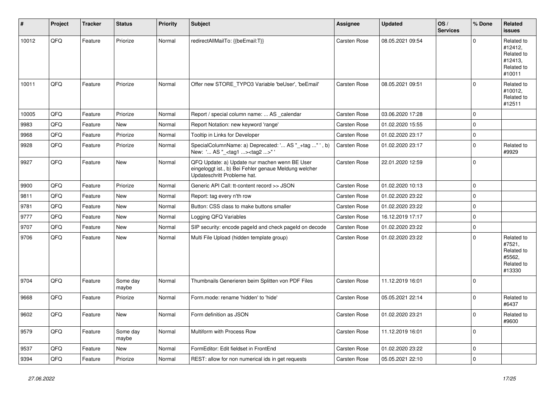| #     | Project | <b>Tracker</b> | <b>Status</b>     | <b>Priority</b> | <b>Subject</b>                                                                                                                        | <b>Assignee</b>     | <b>Updated</b>   | OS/<br><b>Services</b> | % Done      | Related<br>issues                                                      |
|-------|---------|----------------|-------------------|-----------------|---------------------------------------------------------------------------------------------------------------------------------------|---------------------|------------------|------------------------|-------------|------------------------------------------------------------------------|
| 10012 | QFQ     | Feature        | Priorize          | Normal          | redirectAllMailTo: {{beEmail:T}}                                                                                                      | Carsten Rose        | 08.05.2021 09:54 |                        | $\Omega$    | Related to<br>#12412,<br>Related to<br>#12413,<br>Related to<br>#10011 |
| 10011 | QFQ     | Feature        | Priorize          | Normal          | Offer new STORE_TYPO3 Variable 'beUser', 'beEmail'                                                                                    | Carsten Rose        | 08.05.2021 09:51 |                        | $\Omega$    | Related to<br>#10012,<br>Related to<br>#12511                          |
| 10005 | QFQ     | Feature        | Priorize          | Normal          | Report / special column name:  AS _calendar                                                                                           | Carsten Rose        | 03.06.2020 17:28 |                        | 0           |                                                                        |
| 9983  | QFQ     | Feature        | <b>New</b>        | Normal          | Report Notation: new keyword 'range'                                                                                                  | Carsten Rose        | 01.02.2020 15:55 |                        | $\Omega$    |                                                                        |
| 9968  | QFQ     | Feature        | Priorize          | Normal          | Tooltip in Links for Developer                                                                                                        | Carsten Rose        | 01.02.2020 23:17 |                        | 0           |                                                                        |
| 9928  | QFQ     | Feature        | Priorize          | Normal          | SpecialColumnName: a) Deprecated: ' AS "_+tag " ', b)<br>New: ' AS "_ <tag1><tag2>"</tag2></tag1>                                     | Carsten Rose        | 01.02.2020 23:17 |                        | $\mathbf 0$ | Related to<br>#9929                                                    |
| 9927  | QFQ     | Feature        | New               | Normal          | QFQ Update: a) Update nur machen wenn BE User<br>eingeloggt ist., b) Bei Fehler genaue Meldung welcher<br>Updateschritt Probleme hat. | Carsten Rose        | 22.01.2020 12:59 |                        | $\Omega$    |                                                                        |
| 9900  | QFQ     | Feature        | Priorize          | Normal          | Generic API Call: tt-content record >> JSON                                                                                           | Carsten Rose        | 01.02.2020 10:13 |                        | $\mathbf 0$ |                                                                        |
| 9811  | QFQ     | Feature        | <b>New</b>        | Normal          | Report: tag every n'th row                                                                                                            | Carsten Rose        | 01.02.2020 23:22 |                        | $\mathbf 0$ |                                                                        |
| 9781  | QFQ     | Feature        | <b>New</b>        | Normal          | Button: CSS class to make buttons smaller                                                                                             | Carsten Rose        | 01.02.2020 23:22 |                        | $\mathbf 0$ |                                                                        |
| 9777  | QFQ     | Feature        | <b>New</b>        | Normal          | Logging QFQ Variables                                                                                                                 | Carsten Rose        | 16.12.2019 17:17 |                        | $\Omega$    |                                                                        |
| 9707  | QFQ     | Feature        | <b>New</b>        | Normal          | SIP security: encode pageld and check pageld on decode                                                                                | Carsten Rose        | 01.02.2020 23:22 |                        | $\mathbf 0$ |                                                                        |
| 9706  | QFQ     | Feature        | New               | Normal          | Multi File Upload (hidden template group)                                                                                             | Carsten Rose        | 01.02.2020 23:22 |                        | $\mathbf 0$ | Related to<br>#7521,<br>Related to<br>#5562,<br>Related to<br>#13330   |
| 9704  | QFQ     | Feature        | Some day<br>maybe | Normal          | Thumbnails Generieren beim Splitten von PDF Files                                                                                     | Carsten Rose        | 11.12.2019 16:01 |                        | $\Omega$    |                                                                        |
| 9668  | QFQ     | Feature        | Priorize          | Normal          | Form.mode: rename 'hidden' to 'hide'                                                                                                  | Carsten Rose        | 05.05.2021 22:14 |                        | $\Omega$    | Related to<br>#6437                                                    |
| 9602  | QFQ     | Feature        | New               | Normal          | Form definition as JSON                                                                                                               | <b>Carsten Rose</b> | 01.02.2020 23:21 |                        | 0           | Related to<br>#9600                                                    |
| 9579  | QFQ     | Feature        | Some day<br>maybe | Normal          | Multiform with Process Row                                                                                                            | Carsten Rose        | 11.12.2019 16:01 |                        | $\mathbf 0$ |                                                                        |
| 9537  | QFQ     | Feature        | New               | Normal          | FormEditor: Edit fieldset in FrontEnd                                                                                                 | Carsten Rose        | 01.02.2020 23:22 |                        | 0           |                                                                        |
| 9394  | QFQ     | Feature        | Priorize          | Normal          | REST: allow for non numerical ids in get requests                                                                                     | Carsten Rose        | 05.05.2021 22:10 |                        | $\mathbf 0$ |                                                                        |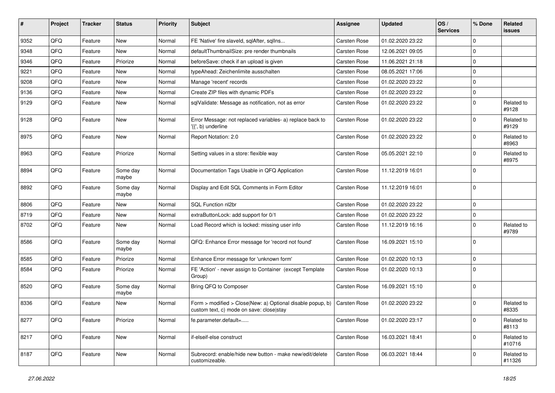| ∦    | Project | <b>Tracker</b> | <b>Status</b>     | <b>Priority</b> | Subject                                                                                                | Assignee            | <b>Updated</b>   | OS/<br><b>Services</b> | % Done      | Related<br><b>issues</b> |
|------|---------|----------------|-------------------|-----------------|--------------------------------------------------------------------------------------------------------|---------------------|------------------|------------------------|-------------|--------------------------|
| 9352 | QFQ     | Feature        | <b>New</b>        | Normal          | FE 'Native' fire slaveld, sqlAfter, sqlIns                                                             | Carsten Rose        | 01.02.2020 23:22 |                        | $\mathbf 0$ |                          |
| 9348 | QFQ     | Feature        | <b>New</b>        | Normal          | defaultThumbnailSize: pre render thumbnails                                                            | Carsten Rose        | 12.06.2021 09:05 |                        | $\mathbf 0$ |                          |
| 9346 | QFQ     | Feature        | Priorize          | Normal          | beforeSave: check if an upload is given                                                                | Carsten Rose        | 11.06.2021 21:18 |                        | $\mathbf 0$ |                          |
| 9221 | QFQ     | Feature        | <b>New</b>        | Normal          | typeAhead: Zeichenlimite ausschalten                                                                   | Carsten Rose        | 08.05.2021 17:06 |                        | $\mathbf 0$ |                          |
| 9208 | QFQ     | Feature        | New               | Normal          | Manage 'recent' records                                                                                | Carsten Rose        | 01.02.2020 23:22 |                        | $\mathbf 0$ |                          |
| 9136 | QFQ     | Feature        | <b>New</b>        | Normal          | Create ZIP files with dynamic PDFs                                                                     | <b>Carsten Rose</b> | 01.02.2020 23:22 |                        | $\mathbf 0$ |                          |
| 9129 | QFQ     | Feature        | <b>New</b>        | Normal          | sqlValidate: Message as notification, not as error                                                     | Carsten Rose        | 01.02.2020 23:22 |                        | $\mathbf 0$ | Related to<br>#9128      |
| 9128 | QFQ     | Feature        | <b>New</b>        | Normal          | Error Message: not replaced variables- a) replace back to<br>'{{', b) underline                        | Carsten Rose        | 01.02.2020 23:22 |                        | $\mathbf 0$ | Related to<br>#9129      |
| 8975 | QFQ     | Feature        | New               | Normal          | Report Notation: 2.0                                                                                   | Carsten Rose        | 01.02.2020 23:22 |                        | $\mathbf 0$ | Related to<br>#8963      |
| 8963 | QFQ     | Feature        | Priorize          | Normal          | Setting values in a store: flexible way                                                                | Carsten Rose        | 05.05.2021 22:10 |                        | $\Omega$    | Related to<br>#8975      |
| 8894 | QFQ     | Feature        | Some day<br>maybe | Normal          | Documentation Tags Usable in QFQ Application                                                           | <b>Carsten Rose</b> | 11.12.2019 16:01 |                        | $\mathbf 0$ |                          |
| 8892 | QFQ     | Feature        | Some day<br>maybe | Normal          | Display and Edit SQL Comments in Form Editor                                                           | Carsten Rose        | 11.12.2019 16:01 |                        | $\mathbf 0$ |                          |
| 8806 | QFQ     | Feature        | <b>New</b>        | Normal          | SQL Function nl2br                                                                                     | Carsten Rose        | 01.02.2020 23:22 |                        | $\mathbf 0$ |                          |
| 8719 | QFQ     | Feature        | <b>New</b>        | Normal          | extraButtonLock: add support for 0/1                                                                   | Carsten Rose        | 01.02.2020 23:22 |                        | $\mathbf 0$ |                          |
| 8702 | QFQ     | Feature        | <b>New</b>        | Normal          | Load Record which is locked: missing user info                                                         | Carsten Rose        | 11.12.2019 16:16 |                        | $\mathbf 0$ | Related to<br>#9789      |
| 8586 | QFQ     | Feature        | Some day<br>maybe | Normal          | QFQ: Enhance Error message for 'record not found'                                                      | Carsten Rose        | 16.09.2021 15:10 |                        | $\mathbf 0$ |                          |
| 8585 | QFQ     | Feature        | Priorize          | Normal          | Enhance Error message for 'unknown form'                                                               | Carsten Rose        | 01.02.2020 10:13 |                        | $\pmb{0}$   |                          |
| 8584 | QFQ     | Feature        | Priorize          | Normal          | FE 'Action' - never assign to Container (except Template<br>Group)                                     | Carsten Rose        | 01.02.2020 10:13 |                        | $\mathbf 0$ |                          |
| 8520 | QFQ     | Feature        | Some day<br>maybe | Normal          | Bring QFQ to Composer                                                                                  | Carsten Rose        | 16.09.2021 15:10 |                        | $\mathbf 0$ |                          |
| 8336 | QFQ     | Feature        | <b>New</b>        | Normal          | Form > modified > Close New: a) Optional disable popup, b)<br>custom text, c) mode on save: close stay | Carsten Rose        | 01.02.2020 23:22 |                        | $\mathbf 0$ | Related to<br>#8335      |
| 8277 | QFQ     | Feature        | Priorize          | Normal          | fe.parameter.default=                                                                                  | Carsten Rose        | 01.02.2020 23:17 |                        | $\mathbf 0$ | Related to<br>#8113      |
| 8217 | QFQ     | Feature        | New               | Normal          | if-elseif-else construct                                                                               | Carsten Rose        | 16.03.2021 18:41 |                        | $\mathbf 0$ | Related to<br>#10716     |
| 8187 | QFQ     | Feature        | New               | Normal          | Subrecord: enable/hide new button - make new/edit/delete<br>customizeable.                             | Carsten Rose        | 06.03.2021 18:44 |                        | $\mathbf 0$ | Related to<br>#11326     |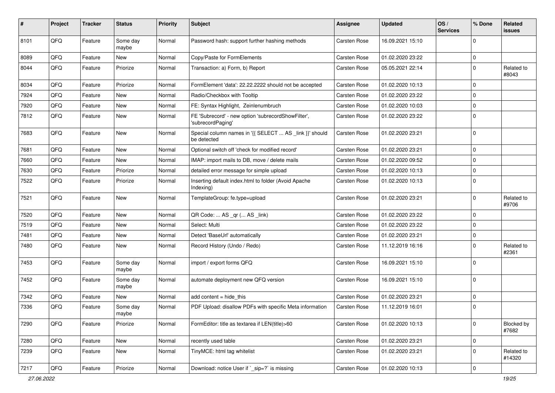| $\sharp$ | Project | <b>Tracker</b> | <b>Status</b>     | <b>Priority</b> | Subject                                                                 | Assignee            | <b>Updated</b>   | OS/<br><b>Services</b> | % Done      | Related<br>issues    |
|----------|---------|----------------|-------------------|-----------------|-------------------------------------------------------------------------|---------------------|------------------|------------------------|-------------|----------------------|
| 8101     | QFQ     | Feature        | Some day<br>maybe | Normal          | Password hash: support further hashing methods                          | Carsten Rose        | 16.09.2021 15:10 |                        | $\Omega$    |                      |
| 8089     | QFQ     | Feature        | New               | Normal          | Copy/Paste for FormElements                                             | Carsten Rose        | 01.02.2020 23:22 |                        | 0           |                      |
| 8044     | QFQ     | Feature        | Priorize          | Normal          | Transaction: a) Form, b) Report                                         | <b>Carsten Rose</b> | 05.05.2021 22:14 |                        | $\Omega$    | Related to<br>#8043  |
| 8034     | QFQ     | Feature        | Priorize          | Normal          | FormElement 'data': 22.22.2222 should not be accepted                   | Carsten Rose        | 01.02.2020 10:13 |                        | $\mathbf 0$ |                      |
| 7924     | QFQ     | Feature        | <b>New</b>        | Normal          | Radio/Checkbox with Tooltip                                             | Carsten Rose        | 01.02.2020 23:22 |                        | 0           |                      |
| 7920     | QFQ     | Feature        | New               | Normal          | FE: Syntax Highlight, Zeinlenumbruch                                    | Carsten Rose        | 01.02.2020 10:03 |                        | 0           |                      |
| 7812     | QFQ     | Feature        | <b>New</b>        | Normal          | FE 'Subrecord' - new option 'subrecordShowFilter',<br>'subrecordPaging' | <b>Carsten Rose</b> | 01.02.2020 23:22 |                        | $\Omega$    |                      |
| 7683     | QFQ     | Feature        | <b>New</b>        | Normal          | Special column names in '{{ SELECT  AS _link }}' should<br>be detected  | Carsten Rose        | 01.02.2020 23:21 |                        | $\Omega$    |                      |
| 7681     | QFQ     | Feature        | <b>New</b>        | Normal          | Optional switch off 'check for modified record'                         | Carsten Rose        | 01.02.2020 23:21 |                        | $\mathbf 0$ |                      |
| 7660     | QFQ     | Feature        | New               | Normal          | IMAP: import mails to DB, move / delete mails                           | Carsten Rose        | 01.02.2020 09:52 |                        | $\mathbf 0$ |                      |
| 7630     | QFQ     | Feature        | Priorize          | Normal          | detailed error message for simple upload                                | Carsten Rose        | 01.02.2020 10:13 |                        | 0           |                      |
| 7522     | QFQ     | Feature        | Priorize          | Normal          | Inserting default index.html to folder (Avoid Apache<br>Indexing)       | Carsten Rose        | 01.02.2020 10:13 |                        | $\Omega$    |                      |
| 7521     | QFQ     | Feature        | <b>New</b>        | Normal          | TemplateGroup: fe.type=upload                                           | Carsten Rose        | 01.02.2020 23:21 |                        | $\mathbf 0$ | Related to<br>#9706  |
| 7520     | QFQ     | Feature        | <b>New</b>        | Normal          | QR Code:  AS _qr ( AS _link)                                            | Carsten Rose        | 01.02.2020 23:22 |                        | $\mathbf 0$ |                      |
| 7519     | QFQ     | Feature        | <b>New</b>        | Normal          | Select: Multi                                                           | Carsten Rose        | 01.02.2020 23:22 |                        | $\Omega$    |                      |
| 7481     | QFQ     | Feature        | New               | Normal          | Detect 'BaseUrl' automatically                                          | Carsten Rose        | 01.02.2020 23:21 |                        | 0           |                      |
| 7480     | QFQ     | Feature        | <b>New</b>        | Normal          | Record History (Undo / Redo)                                            | Carsten Rose        | 11.12.2019 16:16 |                        | $\Omega$    | Related to<br>#2361  |
| 7453     | QFQ     | Feature        | Some day<br>maybe | Normal          | import / export forms QFQ                                               | Carsten Rose        | 16.09.2021 15:10 |                        | 0           |                      |
| 7452     | QFQ     | Feature        | Some day<br>maybe | Normal          | automate deployment new QFQ version                                     | Carsten Rose        | 16.09.2021 15:10 |                        | $\Omega$    |                      |
| 7342     | QFQ     | Feature        | New               | Normal          | add content $=$ hide this                                               | Carsten Rose        | 01.02.2020 23:21 |                        | $\mathbf 0$ |                      |
| 7336     | QFQ     | Feature        | Some day<br>maybe | Normal          | PDF Upload: disallow PDFs with specific Meta information                | Carsten Rose        | 11.12.2019 16:01 |                        | $\Omega$    |                      |
| 7290     | QFQ     | Feature        | Priorize          | Normal          | FormEditor: title as textarea if LEN(title)>60                          | Carsten Rose        | 01.02.2020 10:13 |                        | $\mathbf 0$ | Blocked by<br>#7682  |
| 7280     | QFQ     | Feature        | <b>New</b>        | Normal          | recently used table                                                     | Carsten Rose        | 01.02.2020 23:21 |                        | 0           |                      |
| 7239     | QFQ     | Feature        | New               | Normal          | TinyMCE: html tag whitelist                                             | Carsten Rose        | 01.02.2020 23:21 |                        | 0           | Related to<br>#14320 |
| 7217     | QFG     | Feature        | Priorize          | Normal          | Download: notice User if ` sip=?` is missing                            | Carsten Rose        | 01.02.2020 10:13 |                        | 0           |                      |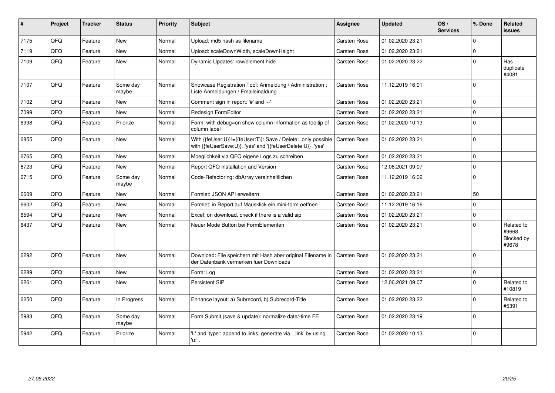| #    | Project | <b>Tracker</b> | <b>Status</b>     | <b>Priority</b> | Subject                                                                                                                    | Assignee            | <b>Updated</b>   | OS/<br><b>Services</b> | % Done      | Related<br><b>issues</b>                    |
|------|---------|----------------|-------------------|-----------------|----------------------------------------------------------------------------------------------------------------------------|---------------------|------------------|------------------------|-------------|---------------------------------------------|
| 7175 | QFQ     | Feature        | <b>New</b>        | Normal          | Upload: md5 hash as filename                                                                                               | Carsten Rose        | 01.02.2020 23:21 |                        | $\Omega$    |                                             |
| 7119 | QFQ     | Feature        | <b>New</b>        | Normal          | Upload: scaleDownWidth, scaleDownHeight                                                                                    | Carsten Rose        | 01.02.2020 23:21 |                        | $\Omega$    |                                             |
| 7109 | QFQ     | Feature        | <b>New</b>        | Normal          | Dynamic Updates: row/element hide                                                                                          | Carsten Rose        | 01.02.2020 23:22 |                        | $\Omega$    | Has<br>duplicate<br>#4081                   |
| 7107 | QFQ     | Feature        | Some day<br>maybe | Normal          | Showcase Registration Tool: Anmeldung / Administration :<br>Liste Anmeldungen / Emaileinaldung                             | Carsten Rose        | 11.12.2019 16:01 |                        | $\Omega$    |                                             |
| 7102 | QFQ     | Feature        | <b>New</b>        | Normal          | Comment sign in report: '#' and '--'                                                                                       | Carsten Rose        | 01.02.2020 23:21 |                        | $\Omega$    |                                             |
| 7099 | QFQ     | Feature        | <b>New</b>        | Normal          | Redesign FormEditor                                                                                                        | Carsten Rose        | 01.02.2020 23:21 |                        | $\mathbf 0$ |                                             |
| 6998 | QFQ     | Feature        | Priorize          | Normal          | Form: with debug=on show column information as tooltip of<br>column label                                                  | Carsten Rose        | 01.02.2020 10:13 |                        | 0           |                                             |
| 6855 | QFQ     | Feature        | New               | Normal          | With {{feUser:U}}!={{feUser:T}}: Save / Delete: only possible<br>with {{feUserSave:U}}='yes' and '{{feUserDelete:U}}='yes' | Carsten Rose        | 01.02.2020 23:21 |                        | 0           |                                             |
| 6765 | QFQ     | Feature        | <b>New</b>        | Normal          | Moeglichkeit via QFQ eigene Logs zu schreiben                                                                              | Carsten Rose        | 01.02.2020 23:21 |                        | $\Omega$    |                                             |
| 6723 | QFQ     | Feature        | <b>New</b>        | Normal          | Report QFQ Installation and Version                                                                                        | Carsten Rose        | 12.06.2021 09:07 |                        | $\mathbf 0$ |                                             |
| 6715 | QFQ     | Feature        | Some day<br>maybe | Normal          | Code-Refactoring: dbArray vereinheitlichen                                                                                 | Carsten Rose        | 11.12.2019 16:02 |                        | $\Omega$    |                                             |
| 6609 | QFQ     | Feature        | <b>New</b>        | Normal          | Formlet: JSON API erweitern                                                                                                | <b>Carsten Rose</b> | 01.02.2020 23:21 |                        | 50          |                                             |
| 6602 | QFQ     | Feature        | <b>New</b>        | Normal          | Formlet: in Report auf Mausklick ein mini-form oeffnen                                                                     | Carsten Rose        | 11.12.2019 16:16 |                        | $\Omega$    |                                             |
| 6594 | QFQ     | Feature        | <b>New</b>        | Normal          | Excel: on download, check if there is a valid sip                                                                          | Carsten Rose        | 01.02.2020 23:21 |                        | $\Omega$    |                                             |
| 6437 | QFQ     | Feature        | New               | Normal          | Neuer Mode Button bei FormElementen                                                                                        | Carsten Rose        | 01.02.2020 23:21 |                        | $\Omega$    | Related to<br>#9668,<br>Blocked by<br>#9678 |
| 6292 | QFQ     | Feature        | <b>New</b>        | Normal          | Download: File speichern mit Hash aber original Filename in<br>der Datenbank vermerken fuer Downloads                      | <b>Carsten Rose</b> | 01.02.2020 23:21 |                        | $\Omega$    |                                             |
| 6289 | QFQ     | Feature        | <b>New</b>        | Normal          | Form: Log                                                                                                                  | Carsten Rose        | 01.02.2020 23:21 |                        | $\Omega$    |                                             |
| 6261 | QFQ     | Feature        | <b>New</b>        | Normal          | Persistent SIP                                                                                                             | Carsten Rose        | 12.06.2021 09:07 |                        | $\Omega$    | Related to<br>#10819                        |
| 6250 | QFQ     | Feature        | In Progress       | Normal          | Enhance layout: a) Subrecord, b) Subrecord-Title                                                                           | Carsten Rose        | 01.02.2020 23:22 |                        | $\Omega$    | Related to<br>#5391                         |
| 5983 | QFQ     | Feature        | Some day<br>maybe | Normal          | Form Submit (save & update): normalize date/-time FE                                                                       | Carsten Rose        | 01.02.2020 23:19 |                        | $\Omega$    |                                             |
| 5942 | QFQ     | Feature        | Priorize          | Normal          | 'L' and 'type': append to links, generate via 'link' by using<br>'u.' .                                                    | Carsten Rose        | 01.02.2020 10:13 |                        | 0           |                                             |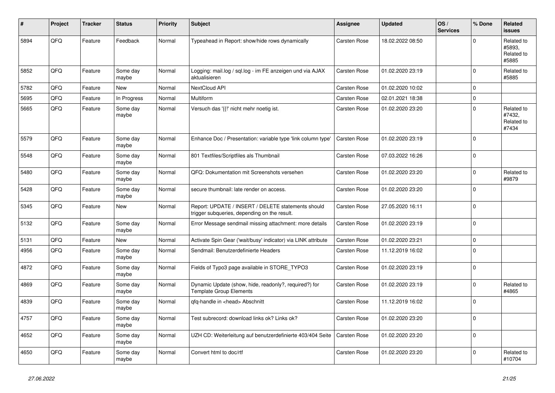| #    | Project | <b>Tracker</b> | <b>Status</b>     | <b>Priority</b> | <b>Subject</b>                                                                                     | Assignee     | <b>Updated</b>   | OS/<br><b>Services</b> | % Done      | Related<br><b>issues</b>                    |
|------|---------|----------------|-------------------|-----------------|----------------------------------------------------------------------------------------------------|--------------|------------------|------------------------|-------------|---------------------------------------------|
| 5894 | QFQ     | Feature        | Feedback          | Normal          | Typeahead in Report: show/hide rows dynamically                                                    | Carsten Rose | 18.02.2022 08:50 |                        | $\Omega$    | Related to<br>#5893.<br>Related to<br>#5885 |
| 5852 | QFQ     | Feature        | Some day<br>maybe | Normal          | Logging: mail.log / sql.log - im FE anzeigen und via AJAX<br>aktualisieren                         | Carsten Rose | 01.02.2020 23:19 |                        | $\mathbf 0$ | Related to<br>#5885                         |
| 5782 | QFQ     | Feature        | <b>New</b>        | Normal          | <b>NextCloud API</b>                                                                               | Carsten Rose | 01.02.2020 10:02 |                        | $\Omega$    |                                             |
| 5695 | QFQ     | Feature        | In Progress       | Normal          | <b>Multiform</b>                                                                                   | Carsten Rose | 02.01.2021 18:38 |                        | $\mathbf 0$ |                                             |
| 5665 | QFQ     | Feature        | Some day<br>maybe | Normal          | Versuch das '{{!' nicht mehr noetig ist.                                                           | Carsten Rose | 01.02.2020 23:20 |                        | $\mathbf 0$ | Related to<br>#7432,<br>Related to<br>#7434 |
| 5579 | QFQ     | Feature        | Some day<br>maybe | Normal          | Enhance Doc / Presentation: variable type 'link column type'                                       | Carsten Rose | 01.02.2020 23:19 |                        | $\Omega$    |                                             |
| 5548 | QFQ     | Feature        | Some day<br>maybe | Normal          | 801 Textfiles/Scriptfiles als Thumbnail                                                            | Carsten Rose | 07.03.2022 16:26 |                        | $\mathbf 0$ |                                             |
| 5480 | QFQ     | Feature        | Some day<br>maybe | Normal          | QFQ: Dokumentation mit Screenshots versehen                                                        | Carsten Rose | 01.02.2020 23:20 |                        | $\mathbf 0$ | Related to<br>#9879                         |
| 5428 | QFQ     | Feature        | Some day<br>maybe | Normal          | secure thumbnail: late render on access.                                                           | Carsten Rose | 01.02.2020 23:20 |                        | $\Omega$    |                                             |
| 5345 | QFQ     | Feature        | New               | Normal          | Report: UPDATE / INSERT / DELETE statements should<br>trigger subqueries, depending on the result. | Carsten Rose | 27.05.2020 16:11 |                        | $\Omega$    |                                             |
| 5132 | QFQ     | Feature        | Some day<br>maybe | Normal          | Error Message sendmail missing attachment: more details                                            | Carsten Rose | 01.02.2020 23:19 |                        | $\mathbf 0$ |                                             |
| 5131 | QFQ     | Feature        | <b>New</b>        | Normal          | Activate Spin Gear ('wait/busy' indicator) via LINK attribute                                      | Carsten Rose | 01.02.2020 23:21 |                        | $\mathbf 0$ |                                             |
| 4956 | QFQ     | Feature        | Some day<br>maybe | Normal          | Sendmail: Benutzerdefinierte Headers                                                               | Carsten Rose | 11.12.2019 16:02 |                        | $\mathbf 0$ |                                             |
| 4872 | QFQ     | Feature        | Some day<br>maybe | Normal          | Fields of Typo3 page available in STORE_TYPO3                                                      | Carsten Rose | 01.02.2020 23:19 |                        | $\mathbf 0$ |                                             |
| 4869 | QFQ     | Feature        | Some day<br>maybe | Normal          | Dynamic Update (show, hide, readonly?, required?) for<br><b>Template Group Elements</b>            | Carsten Rose | 01.02.2020 23:19 |                        | $\mathbf 0$ | Related to<br>#4865                         |
| 4839 | QFQ     | Feature        | Some day<br>maybe | Normal          | qfq-handle in <head> Abschnitt</head>                                                              | Carsten Rose | 11.12.2019 16:02 |                        | $\mathbf 0$ |                                             |
| 4757 | QFQ     | Feature        | Some day<br>maybe | Normal          | Test subrecord: download links ok? Links ok?                                                       | Carsten Rose | 01.02.2020 23:20 |                        | $\Omega$    |                                             |
| 4652 | QFQ     | Feature        | Some day<br>maybe | Normal          | UZH CD: Weiterleitung auf benutzerdefinierte 403/404 Seite                                         | Carsten Rose | 01.02.2020 23:20 |                        | $\mathbf 0$ |                                             |
| 4650 | QFQ     | Feature        | Some day<br>maybe | Normal          | Convert html to doc/rtf                                                                            | Carsten Rose | 01.02.2020 23:20 |                        | $\Omega$    | Related to<br>#10704                        |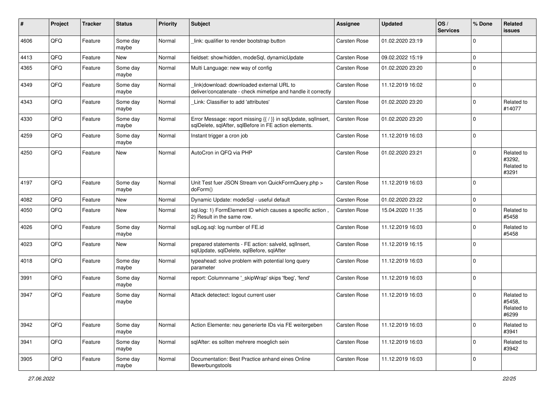| #    | Project | <b>Tracker</b> | <b>Status</b>     | <b>Priority</b> | Subject                                                                                                                 | <b>Assignee</b> | <b>Updated</b>   | OS/<br><b>Services</b> | % Done      | Related<br>issues                           |
|------|---------|----------------|-------------------|-----------------|-------------------------------------------------------------------------------------------------------------------------|-----------------|------------------|------------------------|-------------|---------------------------------------------|
| 4606 | QFQ     | Feature        | Some day<br>maybe | Normal          | link: qualifier to render bootstrap button                                                                              | Carsten Rose    | 01.02.2020 23:19 |                        | $\Omega$    |                                             |
| 4413 | QFQ     | Feature        | New               | Normal          | fieldset: show/hidden, modeSql, dynamicUpdate                                                                           | Carsten Rose    | 09.02.2022 15:19 |                        | $\mathbf 0$ |                                             |
| 4365 | QFQ     | Feature        | Some day<br>maybe | Normal          | Multi Language: new way of config                                                                                       | Carsten Rose    | 01.02.2020 23:20 |                        | $\Omega$    |                                             |
| 4349 | QFQ     | Feature        | Some day<br>maybe | Normal          | link download: downloaded external URL to<br>deliver/concatenate - check mimetipe and handle it correctly               | Carsten Rose    | 11.12.2019 16:02 |                        | 0           |                                             |
| 4343 | QFQ     | Feature        | Some day<br>maybe | Normal          | Link: Classifier to add 'attributes'                                                                                    | Carsten Rose    | 01.02.2020 23:20 |                        | $\Omega$    | Related to<br>#14077                        |
| 4330 | QFQ     | Feature        | Some day<br>maybe | Normal          | Error Message: report missing {{ / }} in sqlUpdate, sqlInsert,<br>sqlDelete, sqlAfter, sqlBefore in FE action elements. | Carsten Rose    | 01.02.2020 23:20 |                        | $\mathbf 0$ |                                             |
| 4259 | QFQ     | Feature        | Some day<br>maybe | Normal          | Instant trigger a cron job                                                                                              | Carsten Rose    | 11.12.2019 16:03 |                        | 0           |                                             |
| 4250 | QFQ     | Feature        | <b>New</b>        | Normal          | AutoCron in QFQ via PHP                                                                                                 | Carsten Rose    | 01.02.2020 23:21 |                        | $\Omega$    | Related to<br>#3292,<br>Related to<br>#3291 |
| 4197 | QFQ     | Feature        | Some day<br>maybe | Normal          | Unit Test fuer JSON Stream von QuickFormQuery.php ><br>doForm()                                                         | Carsten Rose    | 11.12.2019 16:03 |                        | 0           |                                             |
| 4082 | QFQ     | Feature        | <b>New</b>        | Normal          | Dynamic Update: modeSql - useful default                                                                                | Carsten Rose    | 01.02.2020 23:22 |                        | 0           |                                             |
| 4050 | QFQ     | Feature        | <b>New</b>        | Normal          | sql.log: 1) FormElement ID which causes a specific action,<br>2) Result in the same row.                                | Carsten Rose    | 15.04.2020 11:35 |                        | $\Omega$    | Related to<br>#5458                         |
| 4026 | QFQ     | Feature        | Some day<br>maybe | Normal          | sqlLog.sql: log number of FE.id                                                                                         | Carsten Rose    | 11.12.2019 16:03 |                        | $\mathbf 0$ | Related to<br>#5458                         |
| 4023 | QFQ     | Feature        | <b>New</b>        | Normal          | prepared statements - FE action: salveld, sqllnsert,<br>sqlUpdate, sqlDelete, sqlBefore, sqlAfter                       | Carsten Rose    | 11.12.2019 16:15 |                        | $\Omega$    |                                             |
| 4018 | QFQ     | Feature        | Some day<br>maybe | Normal          | typeahead: solve problem with potential long query<br>parameter                                                         | Carsten Rose    | 11.12.2019 16:03 |                        | $\mathbf 0$ |                                             |
| 3991 | QFQ     | Feature        | Some day<br>maybe | Normal          | report: Columnname '_skipWrap' skips 'fbeg', 'fend'                                                                     | Carsten Rose    | 11.12.2019 16:03 |                        | 0           |                                             |
| 3947 | QFQ     | Feature        | Some day<br>maybe | Normal          | Attack detectect: logout current user                                                                                   | Carsten Rose    | 11.12.2019 16:03 |                        | 0           | Related to<br>#5458,<br>Related to<br>#6299 |
| 3942 | QFG     | Feature        | Some day<br>maybe | Normal          | Action Elemente: neu generierte IDs via FE weitergeben                                                                  | Carsten Rose    | 11.12.2019 16:03 |                        | $\mathbf 0$ | Related to<br>#3941                         |
| 3941 | QFG     | Feature        | Some day<br>maybe | Normal          | sqlAfter: es sollten mehrere moeglich sein                                                                              | Carsten Rose    | 11.12.2019 16:03 |                        | 0           | Related to<br>#3942                         |
| 3905 | QFQ     | Feature        | Some day<br>maybe | Normal          | Documentation: Best Practice anhand eines Online<br>Bewerbungstools                                                     | Carsten Rose    | 11.12.2019 16:03 |                        | 0           |                                             |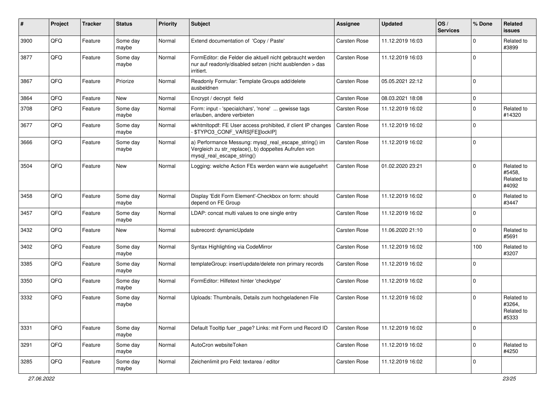| ∦    | Project | <b>Tracker</b> | <b>Status</b>     | <b>Priority</b> | Subject                                                                                                                                      | <b>Assignee</b> | <b>Updated</b>   | OS/<br><b>Services</b> | % Done      | Related<br><b>issues</b>                    |
|------|---------|----------------|-------------------|-----------------|----------------------------------------------------------------------------------------------------------------------------------------------|-----------------|------------------|------------------------|-------------|---------------------------------------------|
| 3900 | QFQ     | Feature        | Some day<br>maybe | Normal          | Extend documentation of 'Copy / Paste'                                                                                                       | Carsten Rose    | 11.12.2019 16:03 |                        | $\Omega$    | Related to<br>#3899                         |
| 3877 | QFQ     | Feature        | Some day<br>maybe | Normal          | FormEditor: die Felder die aktuell nicht gebraucht werden<br>nur auf readonly/disabled setzen (nicht ausblenden > das<br>irritiert.          | Carsten Rose    | 11.12.2019 16:03 |                        | $\mathbf 0$ |                                             |
| 3867 | QFQ     | Feature        | Priorize          | Normal          | Readonly Formular: Template Groups add/delete<br>ausbeldnen                                                                                  | Carsten Rose    | 05.05.2021 22:12 |                        | 0           |                                             |
| 3864 | QFQ     | Feature        | New               | Normal          | Encrypt / decrypt field                                                                                                                      | Carsten Rose    | 08.03.2021 18:08 |                        | $\Omega$    |                                             |
| 3708 | QFQ     | Feature        | Some day<br>maybe | Normal          | Form: input - 'specialchars', 'none'  gewisse tags<br>erlauben, andere verbieten                                                             | Carsten Rose    | 11.12.2019 16:02 |                        | $\Omega$    | Related to<br>#14320                        |
| 3677 | QFQ     | Feature        | Some day<br>maybe | Normal          | wkhtmltopdf: FE User access prohibited, if client IP changes<br>- \$TYPO3_CONF_VARS[FE][lockIP]                                              | Carsten Rose    | 11.12.2019 16:02 |                        | $\Omega$    |                                             |
| 3666 | QFQ     | Feature        | Some day<br>maybe | Normal          | a) Performance Messung: mysql_real_escape_string() im<br>Vergleich zu str_replace(), b) doppeltes Aufrufen von<br>mysql_real_escape_string() | Carsten Rose    | 11.12.2019 16:02 |                        | 0           |                                             |
| 3504 | QFQ     | Feature        | <b>New</b>        | Normal          | Logging: welche Action FEs werden wann wie ausgefuehrt                                                                                       | Carsten Rose    | 01.02.2020 23:21 |                        | $\Omega$    | Related to<br>#5458,<br>Related to<br>#4092 |
| 3458 | QFQ     | Feature        | Some day<br>maybe | Normal          | Display 'Edit Form Element'-Checkbox on form: should<br>depend on FE Group                                                                   | Carsten Rose    | 11.12.2019 16:02 |                        | $\Omega$    | Related to<br>#3447                         |
| 3457 | QFQ     | Feature        | Some day<br>maybe | Normal          | LDAP: concat multi values to one single entry                                                                                                | Carsten Rose    | 11.12.2019 16:02 |                        | $\Omega$    |                                             |
| 3432 | QFQ     | Feature        | New               | Normal          | subrecord: dynamicUpdate                                                                                                                     | Carsten Rose    | 11.06.2020 21:10 |                        | $\Omega$    | Related to<br>#5691                         |
| 3402 | QFQ     | Feature        | Some day<br>maybe | Normal          | Syntax Highlighting via CodeMirror                                                                                                           | Carsten Rose    | 11.12.2019 16:02 |                        | 100         | Related to<br>#3207                         |
| 3385 | QFQ     | Feature        | Some day<br>maybe | Normal          | templateGroup: insert/update/delete non primary records                                                                                      | Carsten Rose    | 11.12.2019 16:02 |                        | $\Omega$    |                                             |
| 3350 | QFQ     | Feature        | Some day<br>maybe | Normal          | FormEditor: Hilfetext hinter 'checktype'                                                                                                     | Carsten Rose    | 11.12.2019 16:02 |                        | $\mathbf 0$ |                                             |
| 3332 | QFQ     | Feature        | Some day<br>maybe | Normal          | Uploads: Thumbnails, Details zum hochgeladenen File                                                                                          | Carsten Rose    | 11.12.2019 16:02 |                        | $\Omega$    | Related to<br>#3264,<br>Related to<br>#5333 |
| 3331 | QFG     | Feature        | Some day<br>maybe | Normal          | Default Tooltip fuer page? Links: mit Form und Record ID                                                                                     | Carsten Rose    | 11.12.2019 16:02 |                        | $\mathbf 0$ |                                             |
| 3291 | QFQ     | Feature        | Some day<br>maybe | Normal          | AutoCron websiteToken                                                                                                                        | Carsten Rose    | 11.12.2019 16:02 |                        | $\mathbf 0$ | Related to<br>#4250                         |
| 3285 | QFG     | Feature        | Some day<br>maybe | Normal          | Zeichenlimit pro Feld: textarea / editor                                                                                                     | Carsten Rose    | 11.12.2019 16:02 |                        | 0           |                                             |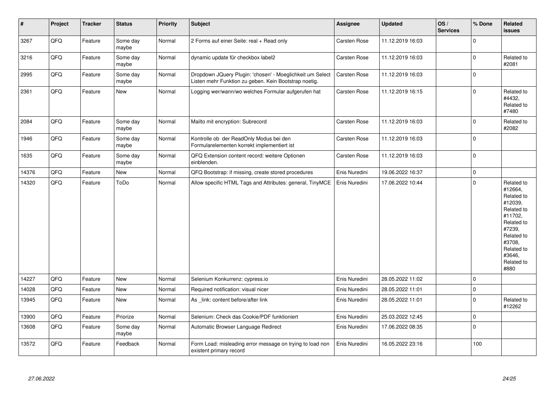| $\vert$ # | Project | <b>Tracker</b> | <b>Status</b>     | <b>Priority</b> | <b>Subject</b>                                                                                                     | Assignee      | <b>Updated</b>   | OS/<br><b>Services</b> | % Done      | Related<br>issues                                                                                                                                                     |
|-----------|---------|----------------|-------------------|-----------------|--------------------------------------------------------------------------------------------------------------------|---------------|------------------|------------------------|-------------|-----------------------------------------------------------------------------------------------------------------------------------------------------------------------|
| 3267      | QFQ     | Feature        | Some day<br>maybe | Normal          | 2 Forms auf einer Seite: real + Read only                                                                          | Carsten Rose  | 11.12.2019 16:03 |                        | $\Omega$    |                                                                                                                                                                       |
| 3216      | QFQ     | Feature        | Some day<br>maybe | Normal          | dynamic update für checkbox label2                                                                                 | Carsten Rose  | 11.12.2019 16:03 |                        | $\Omega$    | Related to<br>#2081                                                                                                                                                   |
| 2995      | QFQ     | Feature        | Some day<br>maybe | Normal          | Dropdown JQuery Plugin: 'chosen' - Moeglichkeit um Select<br>Listen mehr Funktion zu geben. Kein Bootstrap noetig. | Carsten Rose  | 11.12.2019 16:03 |                        | l 0         |                                                                                                                                                                       |
| 2361      | QFQ     | Feature        | New               | Normal          | Logging wer/wann/wo welches Formular aufgerufen hat                                                                | Carsten Rose  | 11.12.2019 16:15 |                        | $\Omega$    | Related to<br>#4432,<br>Related to<br>#7480                                                                                                                           |
| 2084      | QFQ     | Feature        | Some day<br>maybe | Normal          | Mailto mit encryption: Subrecord                                                                                   | Carsten Rose  | 11.12.2019 16:03 |                        | l 0         | Related to<br>#2082                                                                                                                                                   |
| 1946      | QFQ     | Feature        | Some day<br>maybe | Normal          | Kontrolle ob der ReadOnly Modus bei den<br>Formularelementen korrekt implementiert ist                             | Carsten Rose  | 11.12.2019 16:03 |                        | $\mathbf 0$ |                                                                                                                                                                       |
| 1635      | QFQ     | Feature        | Some day<br>maybe | Normal          | QFQ Extension content record: weitere Optionen<br>einblenden.                                                      | Carsten Rose  | 11.12.2019 16:03 |                        | l 0         |                                                                                                                                                                       |
| 14376     | QFQ     | Feature        | <b>New</b>        | Normal          | QFQ Bootstrap: if missing, create stored procedures                                                                | Enis Nuredini | 19.06.2022 16:37 |                        | $\mathbf 0$ |                                                                                                                                                                       |
| 14320     | QFQ     | Feature        | ToDo              | Normal          | Allow specific HTML Tags and Attributes: general, TinyMCE                                                          | Enis Nuredini | 17.06.2022 10:44 |                        | $\Omega$    | Related to<br>#12664,<br>Related to<br>#12039,<br>Related to<br>#11702.<br>Related to<br>#7239,<br>Related to<br>#3708,<br>Related to<br>#3646,<br>Related to<br>#880 |
| 14227     | QFQ     | Feature        | <b>New</b>        | Normal          | Selenium Konkurrenz: cypress.io                                                                                    | Enis Nuredini | 28.05.2022 11:02 |                        | $\mathbf 0$ |                                                                                                                                                                       |
| 14028     | QFQ     | Feature        | <b>New</b>        | Normal          | Required notification: visual nicer                                                                                | Enis Nuredini | 28.05.2022 11:01 |                        | $\pmb{0}$   |                                                                                                                                                                       |
| 13945     | QFQ     | Feature        | New               | Normal          | As link: content before/after link                                                                                 | Enis Nuredini | 28.05.2022 11:01 |                        | $\mathbf 0$ | Related to<br>#12262                                                                                                                                                  |
| 13900     | QFQ     | Feature        | Priorize          | Normal          | Selenium: Check das Cookie/PDF funktioniert                                                                        | Enis Nuredini | 25.03.2022 12:45 |                        | $\pmb{0}$   |                                                                                                                                                                       |
| 13608     | QFQ     | Feature        | Some day<br>maybe | Normal          | Automatic Browser Language Redirect                                                                                | Enis Nuredini | 17.06.2022 08:35 |                        | $\Omega$    |                                                                                                                                                                       |
| 13572     | QFQ     | Feature        | Feedback          | Normal          | Form Load: misleading error message on trying to load non<br>existent primary record                               | Enis Nuredini | 16.05.2022 23:16 |                        | 100         |                                                                                                                                                                       |